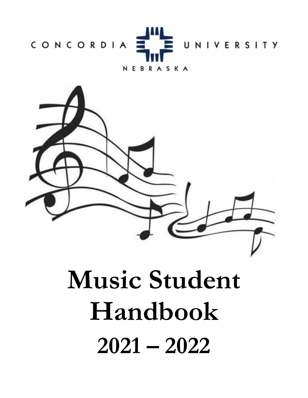



# **Music Student Handbook 2021 – 2022**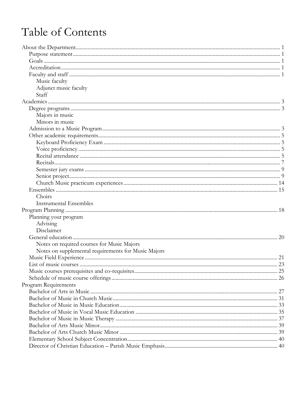# Table of Contents

| Music faculty                                       |              |
|-----------------------------------------------------|--------------|
| Adjunct music faculty                               |              |
| Staff                                               |              |
|                                                     |              |
|                                                     |              |
| Majors in music                                     |              |
| Minors in music                                     |              |
|                                                     |              |
|                                                     |              |
|                                                     |              |
|                                                     |              |
|                                                     |              |
|                                                     |              |
|                                                     |              |
|                                                     |              |
|                                                     |              |
|                                                     |              |
| Choirs                                              |              |
| <b>Instrumental Ensembles</b>                       |              |
|                                                     |              |
| Planning your program                               |              |
| Advising                                            |              |
| Disclaimer                                          |              |
|                                                     | $\, . \, 20$ |
| Notes on required courses for Music Majors          |              |
| Notes on supplemental requirements for Music Majors |              |
|                                                     |              |
|                                                     |              |
|                                                     |              |
|                                                     |              |
| Program Requirements                                |              |
|                                                     |              |
|                                                     |              |
|                                                     |              |
|                                                     |              |
|                                                     |              |
|                                                     |              |
|                                                     |              |
|                                                     |              |
|                                                     |              |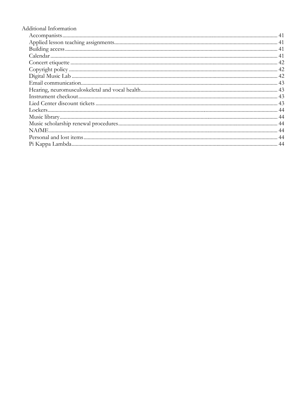| Additional Information |  |
|------------------------|--|
|                        |  |
|                        |  |
|                        |  |
|                        |  |
|                        |  |
|                        |  |
|                        |  |
|                        |  |
|                        |  |
|                        |  |
|                        |  |
|                        |  |
|                        |  |
|                        |  |
|                        |  |
|                        |  |
|                        |  |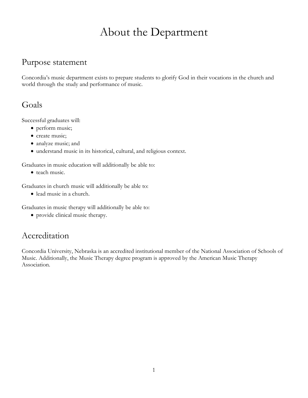# About the Department

### Purpose statement

Concordia's music department exists to prepare students to glorify God in their vocations in the church and world through the study and performance of music.

### Goals

Successful graduates will:

- perform music;
- create music;
- analyze music; and
- understand music in its historical, cultural, and religious context.

Graduates in music education will additionally be able to:

• teach music.

Graduates in church music will additionally be able to:

lead music in a church.

Graduates in music therapy will additionally be able to:

provide clinical music therapy.

### Accreditation

Concordia University, Nebraska is an accredited institutional member of the National Association of Schools of Music. Additionally, the Music Therapy degree program is approved by the American Music Therapy Association.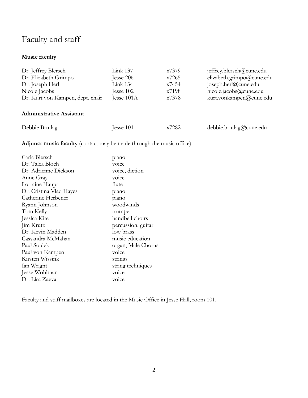### Faculty and staff

### **Music faculty**

| Dr. Jeffrey Blersch                               | Link 137        | x7379 | jeffrey.blersch@cune.edu  |
|---------------------------------------------------|-----------------|-------|---------------------------|
| Dr. Elizabeth Grimpo                              | Jesse 206       | x7265 | elizabeth.grimpo@cune.edu |
| Dr. Joseph Herl                                   | <b>Link 134</b> | x7454 | joseph.herl@cune.edu      |
| Nicole Jacobs                                     | Jesse $102$     | x7198 | nicole.jacobs@cune.edu    |
| Dr. Kurt von Kampen, dept. chair                  | Jesse 101A      | x7378 | kurt.vonkampen@cune.edu   |
| <b>Administrative Assistant</b><br>Debbie Brutlag | Jesse 101       | x7282 | debbie.brutlag@cune.edu   |

**Adjunct music faculty** (contact may be made through the music office)

| Carla Blersch           | piano              |
|-------------------------|--------------------|
| Dr. Talea Bloch         | voice              |
| Dr. Adrienne Dickson    | voice, diction     |
| Anne Gray               | voice              |
| Lorraine Haupt          | flute              |
| Dr. Cristina Vlad Hayes | piano              |
| Catherine Herbener      | piano              |
| Ryann Johnson           | woodwinds          |
| Tom Kelly               | trumpet            |
| Jessica Kite            | handbell choirs    |
| Jim Krutz               | percussion, guitar |
| Dr. Kevin Madden        | low brass          |
| Cassandra McMahan       | music education    |
| Paul Soulek             | organ, Male Chorus |
| Paul von Kampen         | voice              |
| Kirsten Wissink         | strings            |
| Ian Wright              | string techniques  |
| Jesse Wohlman           | voice              |
| Dr. Lisa Zaeva          | voice              |

Faculty and staff mailboxes are located in the Music Office in Jesse Hall, room 101.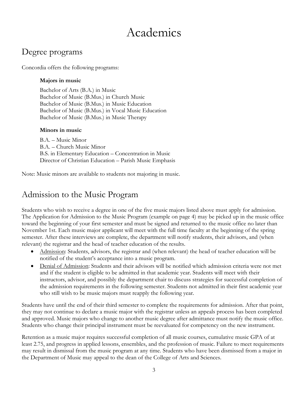# Academics

### Degree programs

Concordia offers the following programs:

#### **Majors in music**

Bachelor of Arts (B.A.) in Music Bachelor of Music (B.Mus.) in Church Music Bachelor of Music (B.Mus.) in Music Education Bachelor of Music (B.Mus.) in Vocal Music Education Bachelor of Music (B.Mus.) in Music Therapy

#### **Minors in music**

B.A. – Music Minor B.A. – Church Music Minor B.S. in Elementary Education – Concentration in Music Director of Christian Education – Parish Music Emphasis

Note: Music minors are available to students not majoring in music.

### Admission to the Music Program

Students who wish to receive a degree in one of the five music majors listed above must apply for admission. The Application for Admission to the Music Program (example on page 4) may be picked up in the music office toward the beginning of your first semester and must be signed and returned to the music office no later than November 1st. Each music major applicant will meet with the full time faculty at the beginning of the spring semester. After these interviews are complete, the department will notify students, their advisors, and (when relevant) the registrar and the head of teacher education of the results.

- Admission: Students, advisors, the registrar and (when relevant) the head of teacher education will be notified of the student's acceptance into a music program.
- Denial of Admission: Students and their advisors will be notified which admission criteria were not met and if the student is eligible to be admitted in that academic year. Students will meet with their instructors, advisor, and possibly the department chair to discuss strategies for successful completion of the admission requirements in the following semester. Students not admitted in their first academic year who still wish to be music majors must reapply the following year.

Students have until the end of their third semester to complete the requirements for admission. After that point, they may not continue to declare a music major with the registrar unless an appeals process has been completed and approved. Music majors who change to another music degree after admittance must notify the music office. Students who change their principal instrument must be reevaluated for competency on the new instrument.

Retention as a music major requires successful completion of all music courses, cumulative music GPA of at least 2.75, and progress in applied lessons, ensembles, and the profession of music. Failure to meet requirements may result in dismissal from the music program at any time. Students who have been dismissed from a major in the Department of Music may appeal to the dean of the College of Arts and Sciences.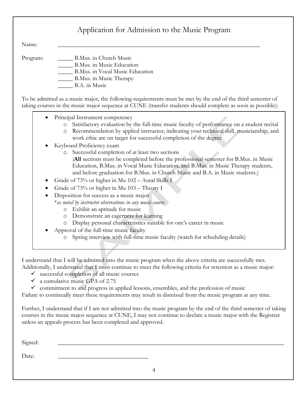### Application for Admission to the Music Program

Name: \_\_\_\_\_\_\_\_\_\_\_\_\_\_\_\_\_\_\_\_\_\_\_\_\_\_\_\_\_\_\_\_\_\_\_\_\_\_\_\_\_\_\_\_\_\_\_\_\_\_\_\_\_\_\_\_\_\_\_\_\_\_\_\_\_\_\_

Program: **\_\_\_\_\_\_** B.Mus. in Church Music

- \_\_\_\_\_ B.Mus. in Music Education
- \_\_\_\_\_ B.Mus. in Vocal Music Education
- \_\_\_\_\_ B.Mus. in Music Therapy
- \_\_\_\_\_ B.A. in Music

To be admitted as a music major, the following requirements must be met by the end of the third semester of taking courses in the music major sequence at CUNE (transfer students should complete as soon as possible):

- Principal Instrument competency
	- o Satisfactory evaluation by the full-time music faculty of performance on a student recital
	- o Recommendation by applied instructor, indicating your technical skill, musicianship, and work ethic are on target for successful completion of the degree
- Keyboard Proficiency exam
	- o Successful completion of at least two sections

*(***All** sections must be completed before the professional semester for B.Mus. in Music Education, B.Mus. in Vocal Music Education, and B.Mus. in Music Therapy students, and before graduation for B.Mus. in Church Music and B.A. in Music students.)

- Grade of  $73\%$  or higher in Mu 102 Aural Skills I
- Grade of  $73\%$  or higher in Mu  $103 -$  Theory I

 Disposition for success as a music major \**as noted by instructor observations in any music course*

- o Exhibit an aptitude for music
- o Demonstrate an eagerness for learning
- o Display personal characteristics suitable for one's career in music
- Approval of the full-time music faculty
	- o Spring interview with full-time music faculty (watch for scheduling details)

I understand that I will be admitted into the music program when the above criteria are successfully met. Additionally, I understand that I must continue to meet the following criteria for retention as a music major:

- $\checkmark$  successful completion of all music courses
- $\checkmark$  a cumulative music GPA of 2.75
- $\checkmark$  commitment to and progress in applied lessons, ensembles, and the profession of music

Failure to continually meet these requirements may result in dismissal from the music program at any time.

Further, I understand that if I am not admitted into the music program by the end of the third semester of taking courses in the music major sequence at CUNE, I may not continue to declare a music major with the Registrar unless an appeals process has been completed and approved.

Signed: \_\_\_\_\_\_\_\_\_\_\_\_\_\_\_\_\_\_\_\_\_\_\_\_\_\_\_\_\_\_\_\_\_\_\_\_\_\_\_\_\_\_\_\_\_\_\_\_\_\_\_\_\_\_\_\_\_\_\_\_\_\_\_\_\_\_\_\_\_\_\_\_\_\_\_

Date: \_\_\_\_\_\_\_\_\_\_\_\_\_\_\_\_\_\_\_\_\_\_\_\_\_\_\_\_\_\_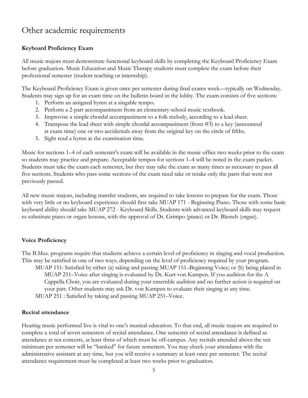### Other academic requirements

#### **Keyboard Proficiency Exam**

All music majors must demonstrate functional keyboard skills by completing the Keyboard Proficiency Exam before graduation. Music Education and Music Therapy students must complete the exam before their professional semester (student teaching or internship).

The Keyboard Proficiency Exam is given once per semester during final exams week—typically on Wednesday. Students may sign up for an exam time on the bulletin board in the lobby. The exam consists of five sections:

- 1. Perform an assigned hymn at a singable tempo.
- 2. Perform a 2-part accompaniment from an elementary school music textbook.
- 3. Improvise a simple chordal accompaniment to a folk melody, according to a lead sheet.
- 4. Transpose the lead sheet with simple chordal accompaniment (from #3) to a key (announced at exam time) one or two accidentals away from the original key on the circle of fifths.
- 5. Sight read a hymn at the examination time.

Music for sections 1–4 of each semester's exam will be available in the music office two weeks prior to the exam so students may practice and prepare. Acceptable tempos for sections 1–4 will be noted in the exam packet. Students must take the exam each semester, but they may take the exam as many times as necessary to pass all five sections. Students who pass some sections of the exam need take or retake only the parts that were not previously passed.

All new music majors, including transfer students, are required to take lessons to prepare for the exam. Those with very little or no keyboard experience should first take MUAP 171 - Beginning Piano. Those with some basic keyboard ability should take MUAP 272 - Keyboard Skills. Students with advanced keyboard skills may request to substitute piano or organ lessons, with the approval of Dr. Grimpo (piano) or Dr. Blersch (organ).

#### **Voice Proficiency**

The B.Mus. programs require that students achieve a certain level of proficiency in singing and vocal production. This may be satisfied in one of two ways, depending on the level of proficiency required by your program. MUAP 151: Satisfied by either (a) taking and passing MUAP 151–Beginning Voice; or (b) being placed in MUAP 251–Voice after singing is evaluated by Dr. Kurt von Kampen. If you audition for the A Cappella Choir, you are evaluated during your ensemble audition and no further action is required on your part. Other students may ask Dr. von Kampen to evaluate their singing at any time. MUAP 251 : Satisfied by taking and passing MUAP 251–Voice.

#### **Recital attendance**

Hearing music performed live is vital to one's musical education. To that end, all music majors are required to complete a total of seven semesters of recital attendance. One semester of recital attendance is defined as attendance at ten concerts, at least three of which must be off-campus. Any recitals attended above the ten minimum per semester will be "banked" for future semesters. You may check your attendance with the administrative assistant at any time, but you will receive a summary at least once per semester. The recital attendance requirement must be completed at least two weeks prior to graduation.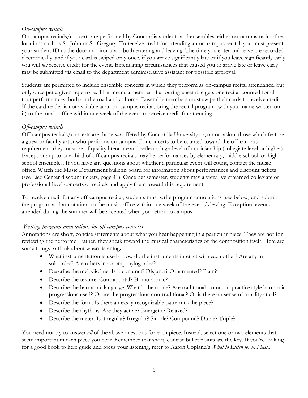#### *On-campus recitals*

On-campus recitals/concerts are performed by Concordia students and ensembles, either on campus or in other locations such as St. John or St. Gregory. To receive credit for attending an on-campus recital, you must present your student ID to the door monitor upon both entering and leaving. The time you enter and leave are recorded electronically, and if your card is swiped only once, if you arrive significantly late or if you leave significantly early you will *not* receive credit for the event. Extenuating circumstances that caused you to arrive late or leave early may be submitted via email to the department administrative assistant for possible approval.

Students are permitted to include ensemble concerts in which they perform as on-campus recital attendance, but only once per a given repertoire. That means a member of a touring ensemble gets one recital counted for all tour performances, both on the road and at home. Ensemble members must swipe their cards to receive credit. If the card reader is not available at an on-campus recital, bring the recital program (with your name written on it) to the music office within one week of the event to receive credit for attending.

#### *Off-campus recitals*

Off-campus recitals/concerts are those *not* offered by Concordia University or, on occasion, those which feature a guest or faculty artist who performs on campus. For concerts to be counted toward the off-campus requirement, they must be of quality literature and reflect a high level of musicianship (collegiate level or higher). Exception: up to one-third of off-campus recitals may be performances by elementary, middle school, or high school ensembles. If you have any questions about whether a particular event will count, contact the music office. Watch the Music Department bulletin board for information about performances and discount tickets (see Lied Center discount tickets, page 41). Once per semester, students may a view live-streamed collegiate or professional-level concerts or recitals and apply them toward this requirement.

To receive credit for any off-campus recital, students must write program annotations (see below) and submit the program and annotations to the music office within one week of the event/viewing. Exception: events attended during the summer will be accepted when you return to campus.

#### *Writing program annotations for off-campus concerts*

Annotations are short, concise statements about what you hear happening in a particular piece. They are not for reviewing the performer; rather, they speak toward the musical characteristics of the composition itself. Here are some things to think about when listening:

- What instrumentation is used? How do the instruments interact with each other? Are any in solo roles? Are others in accompanying roles?
- Describe the melodic line. Is it conjunct? Disjunct? Ornamented? Plain?
- Describe the texture. Contrapuntal? Homophonic?
- Describe the harmonic language. What is the mode? Are traditional, common-practice style harmonic progressions used? Or are the progressions non-traditional? Or is there no sense of tonality at all?
- Describe the form. Is there an easily recognizable pattern to the piece?
- Describe the rhythms. Are they active? Energetic? Relaxed?
- Describe the meter. Is it regular? Irregular? Simple? Compound? Duple? Triple?

You need not try to answer *all* of the above questions for each piece. Instead, select one or two elements that seem important in each piece you hear. Remember that short, concise bullet points are the key. If you're looking for a good book to help guide and focus your listening, refer to Aaron Copland's *What to Listen for in Music*.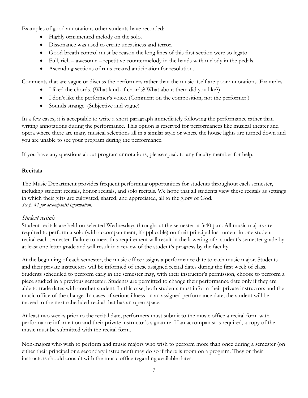Examples of good annotations other students have recorded:

- Highly ornamented melody on the solo.
- Dissonance was used to create uneasiness and terror.
- Good breath control must be reason the long lines of this first section were so legato.
- Full, rich awesome repetitive countermelody in the hands with melody in the pedals.
- Ascending sections of runs created anticipation for resolution.

Comments that are vague or discuss the performers rather than the music itself are poor annotations. Examples:

- I liked the chords. (What kind of chords? What about them did you like?)
- I don't like the performer's voice. (Comment on the composition, not the performer.)
- Sounds strange. (Subjective and vague)

In a few cases, it is acceptable to write a short paragraph immediately following the performance rather than writing annotations during the performance. This option is reserved for performances like musical theater and opera where there are many musical selections all in a similar style or where the house lights are turned down and you are unable to see your program during the performance.

If you have any questions about program annotations, please speak to any faculty member for help.

#### **Recitals**

The Music Department provides frequent performing opportunities for students throughout each semester, including student recitals, honor recitals, and solo recitals. We hope that all students view these recitals as settings in which their gifts are cultivated, shared, and appreciated, all to the glory of God. *See p. 41 for accompanist information.*

#### *Student recitals*

Student recitals are held on selected Wednesdays throughout the semester at 3:40 p.m. All music majors are required to perform a solo (with accompaniment, if applicable) on their principal instrument in one student recital each semester. Failure to meet this requirement will result in the lowering of a student's semester grade by at least one letter grade and will result in a review of the student's progress by the faculty.

At the beginning of each semester, the music office assigns a performance date to each music major. Students and their private instructors will be informed of these assigned recital dates during the first week of class. Students scheduled to perform early in the semester may, with their instructor's permission, choose to perform a piece studied in a previous semester. Students are permitted to change their performance date only if they are able to trade dates with another student. In this case, both students must inform their private instructors and the music office of the change. In cases of serious illness on an assigned performance date, the student will be moved to the next scheduled recital that has an open space.

At least two weeks prior to the recital date, performers must submit to the music office a recital form with performance information and their private instructor's signature. If an accompanist is required, a copy of the music must be submitted with the recital form.

Non-majors who wish to perform and music majors who wish to perform more than once during a semester (on either their principal or a secondary instrument) may do so if there is room on a program. They or their instructors should consult with the music office regarding available dates.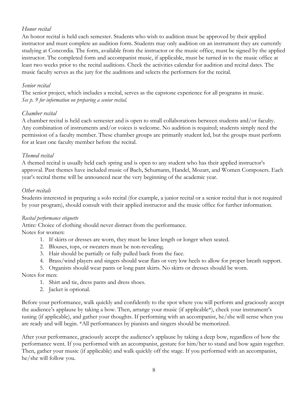#### *Honor recital*

An honor recital is held each semester. Students who wish to audition must be approved by their applied instructor and must complete an audition form. Students may only audition on an instrument they are currently studying at Concordia. The form, available from the instructor or the music office, must be signed by the applied instructor. The completed form and accompanist music, if applicable, must be turned in to the music office at least two weeks prior to the recital auditions. Check the activities calendar for audition and recital dates. The music faculty serves as the jury for the auditions and selects the performers for the recital.

#### *Senior recital*

The senior project, which includes a recital, serves as the capstone experience for all programs in music. *See p. 9 for information on preparing a senior recital.*

#### *Chamber recital*

A chamber recital is held each semester and is open to small collaborations between students and/or faculty. Any combination of instruments and/or voices is welcome. No audition is required; students simply need the permission of a faculty member. These chamber groups are primarily student led, but the groups must perform for at least one faculty member before the recital.

#### *Themed recital*

A themed recital is usually held each spring and is open to any student who has their applied instructor's approval. Past themes have included music of Bach, Schumann, Handel, Mozart, and Women Composers. Each year's recital theme will be announced near the very beginning of the academic year.

#### *Other recitals*

Students interested in preparing a solo recital (for example, a junior recital or a senior recital that is not required by your program), should consult with their applied instructor and the music office for further information.

#### *Recital performance etiquette*

Attire: Choice of clothing should never distract from the performance.

Notes for women:

- 1. If skirts or dresses are worn, they must be knee length or longer when seated.
- 2. Blouses, tops, or sweaters must be non-revealing.
- 3. Hair should be partially or fully pulled back from the face.
- 4. Brass/wind players and singers should wear flats or very low heels to allow for proper breath support.
- 5. Organists should wear pants or long pant skirts. No skirts or dresses should be worn.

#### Notes for men:

- 1. Shirt and tie, dress pants and dress shoes.
- 2. Jacket is optional.

Before your performance, walk quickly and confidently to the spot where you will perform and graciously accept the audience's applause by taking a bow. Then, arrange your music (if applicable\*), check your instrument's tuning (if applicable), and gather your thoughts. If performing with an accompanist, he/she will sense when you are ready and will begin. \*All performances by pianists and singers should be memorized.

After your performance, graciously accept the audience's applause by taking a deep bow, regardless of how the performance went. If you performed with an accompanist, gesture for him/her to stand and bow again together. Then, gather your music (if applicable) and walk quickly off the stage. If you performed with an accompanist, he/she will follow you.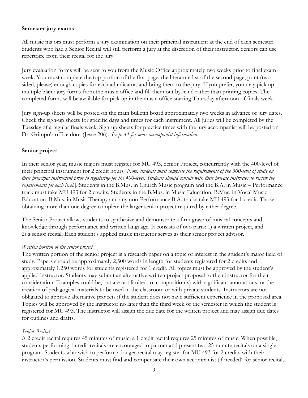#### **Semester jury exams**

All music majors must perform a jury examination on their principal instrument at the end of each semester. Students who had a Senior Recital will still perform a jury at the discretion of their instructor. Seniors can use repertoire from their recital for the jury.

Jury evaluation forms will be sent to you from the Music Office approximately two weeks prior to final exam week. You must complete the top portion of the first page, the literature list of the second page, print (twosided, please) enough copies for each adjudicator, and bring them to the jury. If you prefer, you may pick up multiple blank jury forms from the music office and fill them out by hand rather than printing copies. The completed forms will be available for pick up in the music office starting Thursday afternoon of finals week.

Jury sign-up sheets will be posted on the main bulletin board approximately two weeks in advance of jury dates. Check the sign-up sheets for specific days and times for each instrument. All juries will be completed by the Tuesday of a regular finals week. Sign-up sheets for practice times with the jury accompanist will be posted on Dr. Grimpo's office door (Jesse 206). *See p. 41 for more accompanist information.*

#### **Senior project**

In their senior year, music majors must register for MU 493, Senior Project, concurrently with the 400-level of their principal instrument for 2 credit hours [*Note: students must complete the requirements of the 300-level of study on their principal instrument prior to registering for the 400-level. Students should consult with their private instructor to review the requirements for each level.*]. Students in the B.Mus. in Church Music program and the B.A. in Music – Performance track must take MU 493 for 2 credits. Students in the B.Mus. in Music Education, B.Mus. in Vocal Music Education, B.Mus. in Music Therapy and any non-Performance B.A. tracks take MU 493 for 1 credit. Those obtaining more than one degree complete the larger senior project required by either degree.

The Senior Project allows students to synthesize and demonstrate a firm grasp of musical concepts and knowledge through performance and written language. It consists of two parts: 1) a written project, and 2) a senior recital. Each student's applied music instructor serves as their senior project advisor.

#### *Written portion of the senior project*

The written portion of the senior project is a research paper on a topic of interest in the student's major field of study. Papers should be approximately 2,500 words in length for students registered for 2 credits and approximately 1,250 words for students registered for 1 credit. All topics must be approved by the student's applied instructor. Students may submit an alternative written project proposal to their instructor for their consideration. Examples could be, but are not limited to, composition(s) with significant annotations, or the creation of pedagogical materials to be used in the classroom or with private students. Instructors are not obligated to approve alternative projects if the student does not have sufficient experience in the proposed area. Topics will be approved by the instructor no later than the third week of the semester in which the student is registered for MU 493. The instructor will assign the due date for the written project and may assign due dates for outlines and drafts.

#### *Senior Recital*

A 2 credit recital requires 45 minutes of music; a 1 credit recital requires 25 minutes of music. When possible, students performing 1 credit recitals are encouraged to partner and present two 25-minute recitals on a single program. Students who wish to perform a longer recital may register for MU 493 for 2 credits with their instructor's permission. Students must find and compensate their own accompanist (if needed) for senior recitals.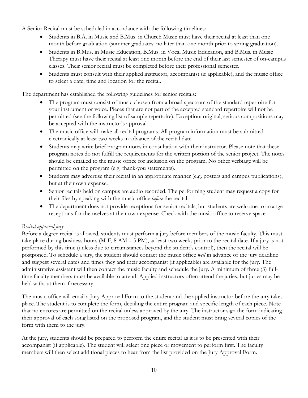A Senior Recital must be scheduled in accordance with the following timelines:

- Students in B.A. in Music and B.Mus. in Church Music must have their recital at least than one month before graduation (summer graduates: no later than one month prior to spring graduation).
- Students in B.Mus. in Music Education, B.Mus. in Vocal Music Education, and B.Mus. in Music Therapy must have their recital at least one month before the end of their last semester of on-campus classes. Their senior recital must be completed before their professional semester.
- Students must consult with their applied instructor, accompanist (if applicable), and the music office to select a date, time and location for the recital.

The department has established the following guidelines for senior recitals:

- The program must consist of music chosen from a broad spectrum of the standard repertoire for your instrument or voice. Pieces that are not part of the accepted standard repertoire will not be permitted (see the following list of sample repertoire). Exception: original, serious compositions may be accepted with the instructor's approval.
- The music office will make all recital programs. All program information must be submitted electronically at least two weeks in advance of the recital date.
- Students may write brief program notes in consultation with their instructor. Please note that these program notes do not fulfill the requirements for the written portion of the senior project. The notes should be emailed to the music office for inclusion on the program. No other verbiage will be permitted on the program (e.g. thank-you statements).
- Students may advertise their recital in an appropriate manner (e.g. posters and campus publications), but at their own expense.
- Senior recitals held on campus are audio recorded. The performing student may request a copy for their files by speaking with the music office *before* the recital.
- The department does not provide receptions for senior recitals, but students are welcome to arrange receptions for themselves at their own expense. Check with the music office to reserve space.

#### *Recital approval jury*

Before a degree recital is allowed, students must perform a jury before members of the music faculty. This must take place during business hours (M-F, 8 AM – 5 PM), at least two weeks prior to the recital date. If a jury is not performed by this time (unless due to circumstances beyond the student's control), then the recital will be postponed. To schedule a jury, the student should contact the music office *well* in advance of the jury deadline and suggest several dates and times they and their accompanist (if applicable) are available for the jury. The administrative assistant will then contact the music faculty and schedule the jury. A minimum of three (3) fulltime faculty members must be available to attend. Applied instructors often attend the juries, but juries may be held without them if necessary.

The music office will email a Jury Approval Form to the student and the applied instructor before the jury takes place. The student is to complete the form, detailing the entire program and specific length of each piece. Note that no encores are permitted on the recital unless approved by the jury. The instructor sign the form indicating their approval of each song listed on the proposed program, and the student must bring several copies of the form with them to the jury.

At the jury, students should be prepared to perform the entire recital as it is to be presented with their accompanist (if applicable). The student will select one piece or movement to perform first. The faculty members will then select additional pieces to hear from the list provided on the Jury Approval Form.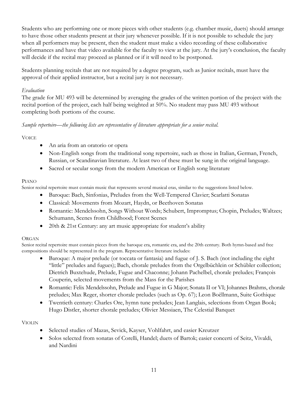Students who are performing one or more pieces with other students (e.g. chamber music, duets) should arrange to have those other students present at their jury whenever possible. If it is not possible to schedule the jury when all performers may be present, then the student must make a video recording of these collaborative performances and have that video available for the faculty to view at the jury. At the jury's conclusion, the faculty will decide if the recital may proceed as planned or if it will need to be postponed.

Students planning recitals that are not required by a degree program, such as Junior recitals, must have the approval of their applied instructor, but a recital jury is not necessary.

#### *Evaluation*

The grade for MU 493 will be determined by averaging the grades of the written portion of the project with the recital portion of the project, each half being weighted at 50%. No student may pass MU 493 without completing both portions of the course.

#### *Sample repertoire—the following lists are representative of literature appropriate for a senior recital.*

#### **VOICE**

- An aria from an oratorio or opera
- Non-English songs from the traditional song repertoire, such as those in Italian, German, French, Russian, or Scandinavian literature. At least two of these must be sung in the original language.
- Sacred or secular songs from the modern American or English song literature

#### PIANO

Senior recital repertoire must contain music that represents several musical eras, similar to the suggestions listed below.

- Baroque: Bach, Sinfonias, Preludes from the Well-Tempered Clavier; Scarlatti Sonatas
- Classical: Movements from Mozart, Haydn, or Beethoven Sonatas
- Romantic: Mendelssohn, Songs Without Words; Schubert, Impromptus; Chopin, Preludes; Waltzes; Schumann, Scenes from Childhood; Forest Scenes
- 20th & 21st Century: any art music appropriate for student's ability

#### **ORGAN**

Senior recital repertoire must contain pieces from the baroque era, romantic era, and the 20th century. Both hymn-based and free compositions should be represented in the program. Representative literature includes:

- Baroque: A major prelude (or toccata or fantasia) and fugue of J. S. Bach (not including the eight "little" preludes and fugues); Bach, chorale preludes from the Orgelbüchlein or Schübler collection; Dietrich Buxtehude, Prelude, Fugue and Chaconne; Johann Pachelbel, chorale preludes; François Couperin, selected movements from the Mass for the Parishes
- Romantic: Felix Mendelssohn, Prelude and Fugue in G Major; Sonata II or VI; Johannes Brahms, chorale preludes; Max Reger, shorter chorale preludes (such as Op. 67); Leon Boëllmann, Suite Gothique
- Twentieth century: Charles Ore, hymn tune preludes; Jean Langlais, selections from Organ Book; Hugo Distler, shorter chorale preludes; Olivier Messiaen, The Celestial Banquet

#### VIOLIN

- Selected studies of Mazas, Sevick, Kayser, Vohlfahrt, and easier Kreutzer
- Solos selected from sonatas of Corelli, Handel; duets of Bartok; easier concerti of Seitz, Vivaldi, and Nardini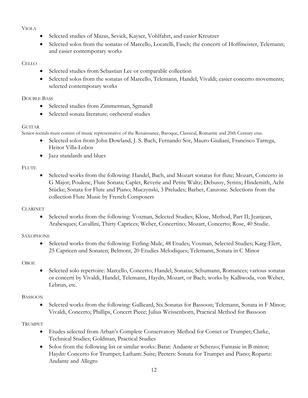#### VIOLA

- Selected studies of Mazas, Sevick, Kayser, Vohlfahrt, and easier Kreutzer
- Selected solos from the sonatas of Marcello, Locatelli, Fasch; the concerti of Hoffmeister, Telemann; and easier contemporary works

#### CELLO

- Selected studies from Sebastian Lee or comparable collection
- Selected solos from the sonatas of Marcello, Telemann, Handel, Vivaldi; easier concerto movements; selected contemporary works

#### DOUBLE BASS

- Selected studies from Zimmerman, Sgmandl
- Selected sonata literature; orchestral studies

#### **GUITAR**

Senior recitals must consist of music representative of the Renaissance, Baroque, Classical, Romantic and 20th Century eras.

- Selected solos from John Dowland, J. S. Bach, Fernando Sor, Mauro Giuliani, Francisco Tarrega, Heitor Villa-Lobos
- Jazz standards and blues

#### FLUTE

• Selected works from the following: Handel, Bach, and Mozart sonatas for flute; Mozart, Concerto in G Major; Poulenc, Flute Sonata; Caplet, Reverie and Petite Waltz; Debussy, Syrinx; Hindemith, Acht Stücke; Sonata for Flute and Piano; Muczynski, 3 Preludes; Barber, Canzone. Selections from the collection Flute Music by French Composers

#### CLARINET

 Selected works from the following: Voxman, Selected Studies; Klose, Method, Part II; Jeanjean, Arabesques; Cavallini, Thirty Caprices; Weber, Concertino; Mozart, Concerto; Rose, 40 Studie.

#### **SAXOPHONE**

• Selected works from the following: Ferling-Mule, 48 Etudes; Voxman, Selected Studies; Karg-Elert, 25 Capricen und Sonaten; Belmont, 20 Etudies Melodiques; Telemann, Sonata in C Minor

#### **OBOE**

 Selected solo repertoire: Marcello, Concerto; Handel, Sonatas; Schumann, Romances; various sonatas or concerti by Vivaldi, Handel, Telemann, Haydn, Mozart, or Bach; works by Kalliwoda, von Weber, Lebrun, etc.

#### BASSOON

• Selected works from the following: Gallieard, Six Sonatas for Bassoon; Telemann, Sonata in F Minor; Vivaldi, Concerto; Phillips, Concert Piece; Julius Weissenborn, Practical Method for Bassoon

#### TRUMPET

- Etudes selected from Arban's Complete Conservatory Method for Cornet or Trumpet; Clarke, Technical Studies; Goldman, Practical Studies
- Solos from the following list or similar works: Barat: Andante et Scherzo; Fantasie in B minor; Haydn: Concerto for Trumpet; Latham: Suite; Peeters: Sonata for Trumpet and Piano; Ropartz: Andante and Allegro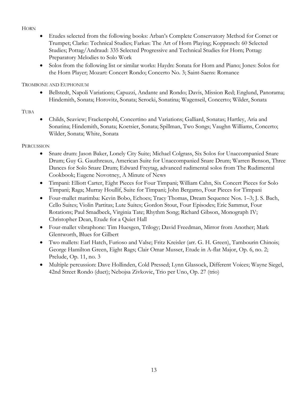#### **HORN**

- Etudes selected from the following books: Arban's Complete Conservatory Method for Cornet or Trumpet; Clarke: Technical Studies; Farkas: The Art of Horn Playing; Kopprasch: 60 Selected Studies; Pottag/Andraud: 335 Selected Progressive and Technical Studies for Horn; Pottag: Preparatory Melodies to Solo Work
- Solos from the following list or similar works: Haydn: Sonata for Horn and Piano; Jones: Solos for the Horn Player; Mozart: Concert Rondo; Concerto No. 3; Saint-Saens: Romance

#### TROMBONE AND EUPHONIUM

 Bellstedt, Napoli Variations; Capuzzi, Andante and Rondo; Davis, Mission Red; Englund, Panorama; Hindemith, Sonata; Horovitz, Sonata; Serocki, Sonatina; Wagenseil, Concerto; Wilder, Sonata

#### TUBA

 Childs, Seaview; Frackenpohl, Concertino and Variations; Galliard, Sonatas; Hartley, Aria and Sonatina; Hindemith, Sonata; Koetsier, Sonata; Spillman, Two Songs; Vaughn Williams, Concerto; Wilder, Sonata; White, Sonata

#### PERCUSSION

- Snare drum: Jason Baker, Lonely City Suite; Michael Colgrass, Six Solos for Unaccompanied Snare Drum; Guy G. Gauthreaux, American Suite for Unaccompanied Snare Drum; Warren Benson, Three Dances for Solo Snare Drum; Edward Freytag, advanced rudimental solos from The Rudimental Cookbook; Eugene Novotney, A Minute of News
- Timpani: Elliott Carter, Eight Pieces for Four Timpani; William Cahn, Six Concert Pieces for Solo Timpani; Raga; Murray Houllif, Suite for Timpani; John Bergamo, Four Pieces for Timpani
- Four-mallet marimba: Kevin Bobo, Echoes; Tracy Thomas, Dream Sequence Nos. 1–3; J. S. Bach, Cello Suites; Violin Partitas; Lute Suites; Gordon Stout, Four Episodes; Eric Sammut, Four Rotations; Paul Smadbeck, Virginia Tate; Rhythm Song; Richard Gibson, Monograph IV; Christopher Dean, Etude for a Quiet Hall
- Four-mallet vibraphone: Tim Huesgen, Trilogy; David Freedman, Mirror from Another; Mark Glentworth, Blues for Gilbert
- Two mallets: Earl Hatch, Furioso and Valse; Fritz Kreisler (arr. G. H. Green), Tambourin Chinois; George Hamilton Green, Eight Rags; Clair Omar Musser, Etude in A-flat Major, Op. 6, no. 2; Prelude, Op. 11, no. 3
- Multiple percussion: Dave Hollinden, Cold Pressed; Lynn Glassock, Different Voices; Wayne Siegel, 42nd Street Rondo (duet); Nebojsa Zivkovic, Trio per Uno, Op. 27 (trio)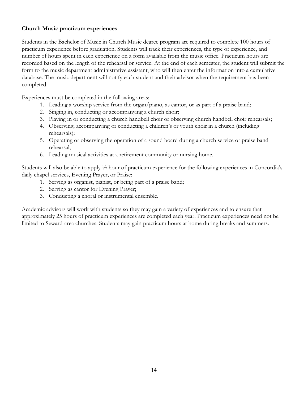#### **Church Music practicum experiences**

Students in the Bachelor of Music in Church Music degree program are required to complete 100 hours of practicum experience before graduation. Students will track their experiences, the type of experience, and number of hours spent in each experience on a form available from the music office. Practicum hours are recorded based on the length of the rehearsal or service. At the end of each semester, the student will submit the form to the music department administrative assistant, who will then enter the information into a cumulative database. The music department will notify each student and their advisor when the requirement has been completed.

Experiences must be completed in the following areas:

- 1. Leading a worship service from the organ/piano, as cantor, or as part of a praise band;
- 2. Singing in, conducting or accompanying a church choir;
- 3. Playing in or conducting a church handbell choir or observing church handbell choir rehearsals;
- 4. Observing, accompanying or conducting a children's or youth choir in a church (including rehearsals);
- 5. Operating or observing the operation of a sound board during a church service or praise band rehearsal;
- 6. Leading musical activities at a retirement community or nursing home.

Students will also be able to apply ½ hour of practicum experience for the following experiences in Concordia's daily chapel services, Evening Prayer, or Praise:

- 1. Serving as organist, pianist, or being part of a praise band;
- 2. Serving as cantor for Evening Prayer;
- 3. Conducting a choral or instrumental ensemble.

Academic advisors will work with students so they may gain a variety of experiences and to ensure that approximately 25 hours of practicum experiences are completed each year. Practicum experiences need not be limited to Seward-area churches. Students may gain practicum hours at home during breaks and summers.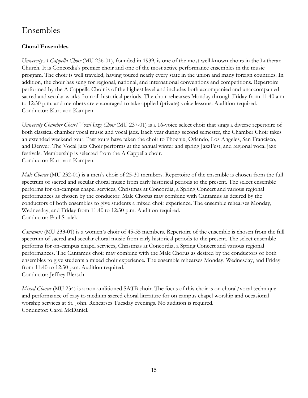### Ensembles

#### **Choral Ensembles**

*University A Cappella Choir* (MU 236-01), founded in 1939, is one of the most well-known choirs in the Lutheran Church. It is Concordia's premier choir and one of the most active performance ensembles in the music program. The choir is well traveled, having toured nearly every state in the union and many foreign countries. In addition, the choir has sung for regional, national, and international conventions and competitions. Repertoire performed by the A Cappella Choir is of the highest level and includes both accompanied and unaccompanied sacred and secular works from all historical periods. The choir rehearses Monday through Friday from 11:40 a.m. to 12:30 p.m. and members are encouraged to take applied (private) voice lessons. Audition required. Conductor: Kurt von Kampen.

*University Chamber Choir/Vocal Jazz Choir* (MU 237-01) is a 16-voice select choir that sings a diverse repertoire of both classical chamber vocal music and vocal jazz. Each year during second semester, the Chamber Choir takes an extended weekend tour. Past tours have taken the choir to Phoenix, Orlando, Los Angeles, San Francisco, and Denver. The Vocal Jazz Choir performs at the annual winter and spring JazzFest, and regional vocal jazz festivals. Membership is selected from the A Cappella choir. Conductor: Kurt von Kampen.

*Male Chorus* (MU 232-01) is a men's choir of 25-30 members. Repertoire of the ensemble is chosen from the full spectrum of sacred and secular choral music from early historical periods to the present. The select ensemble performs for on-campus chapel services, Christmas at Concordia, a Spring Concert and various regional performances as chosen by the conductor. Male Chorus may combine with Cantamus as desired by the conductors of both ensembles to give students a mixed choir experience. The ensemble rehearses Monday, Wednesday, and Friday from 11:40 to 12:30 p.m. Audition required. Conductor: Paul Soulek.

*Cantamus* (MU 233-01) is a women's choir of 45-55 members. Repertoire of the ensemble is chosen from the full spectrum of sacred and secular choral music from early historical periods to the present. The select ensemble performs for on-campus chapel services, Christmas at Concordia, a Spring Concert and various regional performances. The Cantamus choir may combine with the Male Chorus as desired by the conductors of both ensembles to give students a mixed choir experience. The ensemble rehearses Monday, Wednesday, and Friday from 11:40 to 12:30 p.m. Audition required. Conductor: Jeffrey Blersch.

*Mixed Chorus* (MU 234) is a non-auditioned SATB choir. The focus of this choir is on choral/vocal technique and performance of easy to medium sacred choral literature for on campus chapel worship and occasional worship services at St. John. Rehearses Tuesday evenings. No audition is required. Conductor: Carol McDaniel.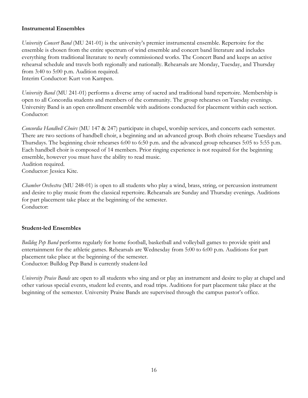#### **Instrumental Ensembles**

*University Concert Band* (MU 241-01) is the university's premier instrumental ensemble. Repertoire for the ensemble is chosen from the entire spectrum of wind ensemble and concert band literature and includes everything from traditional literature to newly commissioned works. The Concert Band and keeps an active rehearsal schedule and travels both regionally and nationally. Rehearsals are Monday, Tuesday, and Thursday from 3:40 to 5:00 p.m. Audition required.

Interim Conductor: Kurt von Kampen.

*University Band* (MU 241-01) performs a diverse array of sacred and traditional band repertoire. Membership is open to all Concordia students and members of the community. The group rehearses on Tuesday evenings. University Band is an open enrollment ensemble with auditions conducted for placement within each section. Conductor:

*Concordia Handbell Choirs* (MU 147 & 247) participate in chapel, worship services, and concerts each semester. There are two sections of handbell choir, a beginning and an advanced group. Both choirs rehearse Tuesdays and Thursdays. The beginning choir rehearses 6:00 to 6:50 p.m. and the advanced group rehearses 5:05 to 5:55 p.m. Each handbell choir is composed of 14 members. Prior ringing experience is not required for the beginning ensemble, however you must have the ability to read music. Audition required.

Conductor: Jessica Kite.

*Chamber Orchestra* (MU 248-01) is open to all students who play a wind, brass, string, or percussion instrument and desire to play music from the classical repertoire. Rehearsals are Sunday and Thursday evenings. Auditions for part placement take place at the beginning of the semester. Conductor:

#### **Student-led Ensembles**

*Bulldog Pep Band* performs regularly for home football, basketball and volleyball games to provide spirit and entertainment for the athletic games. Rehearsals are Wednesday from 5:00 to 6:00 p.m. Auditions for part placement take place at the beginning of the semester. Conductor: Bulldog Pep Band is currently student-led

*University Praise Bands* are open to all students who sing and or play an instrument and desire to play at chapel and other various special events, student led events, and road trips. Auditions for part placement take place at the beginning of the semester. University Praise Bands are supervised through the campus pastor's office.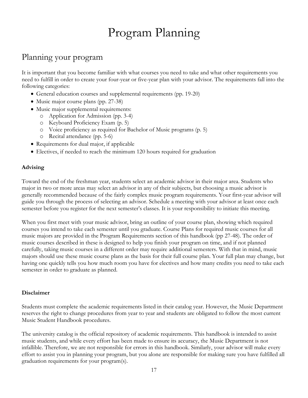# Program Planning

### Planning your program

It is important that you become familiar with what courses you need to take and what other requirements you need to fulfill in order to create your four-year or five-year plan with your advisor. The requirements fall into the following categories:

- General education courses and supplemental requirements (pp. 19-20)
- Music major course plans (pp. 27-38)
- Music major supplemental requirements:
	- o Application for Admission (pp. 3-4)
	- o Keyboard Proficiency Exam (p. 5)
	- o Voice proficiency as required for Bachelor of Music programs (p. 5)
	- o Recital attendance (pp. 5-6)
- Requirements for dual major, if applicable
- Electives, if needed to reach the minimum 120 hours required for graduation

#### **Advising**

Toward the end of the freshman year, students select an academic advisor in their major area. Students who major in two or more areas may select an advisor in any of their subjects, but choosing a music advisor is generally recommended because of the fairly complex music program requirements. Your first-year advisor will guide you through the process of selecting an advisor. Schedule a meeting with your advisor at least once each semester before you register for the next semester's classes. It is your responsibility to initiate this meeting.

When you first meet with your music advisor, bring an outline of your course plan, showing which required courses you intend to take each semester until you graduate. Course Plans for required music courses for all music majors are provided in the Program Requirements section of this handbook (pp 27-48). The order of music courses described in these is designed to help you finish your program on time, and if not planned carefully, taking music courses in a different order may require additional semesters. With that in mind, music majors should use these music course plans as the basis for their full course plan. Your full plan may change, but having one quickly tells you how much room you have for electives and how many credits you need to take each semester in order to graduate as planned.

#### **Disclaimer**

Students must complete the academic requirements listed in their catalog year. However, the Music Department reserves the right to change procedures from year to year and students are obligated to follow the most current Music Student Handbook procedures.

The university catalog is the official repository of academic requirements. This handbook is intended to assist music students, and while every effort has been made to ensure its accuracy, the Music Department is not infallible. Therefore, we are not responsible for errors in this handbook. Similarly, your advisor will make every effort to assist you in planning your program, but you alone are responsible for making sure you have fulfilled all graduation requirements for your program(s).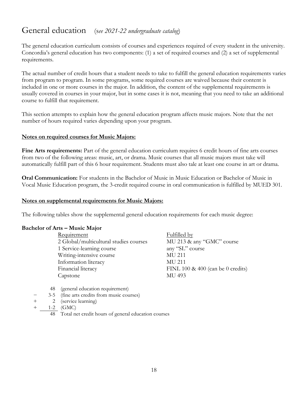### General education (s*ee 2021-22 undergraduate catalog*)

The general education curriculum consists of courses and experiences required of every student in the university. Concordia's general education has two components: (1) a set of required courses and (2) a set of supplemental requirements.

The actual number of credit hours that a student needs to take to fulfill the general education requirements varies from program to program. In some programs, some required courses are waived because their content is included in one or more courses in the major. In addition, the content of the supplemental requirements is usually covered in courses in your major, but in some cases it is not, meaning that you need to take an additional course to fulfill that requirement.

This section attempts to explain how the general education program affects music majors. Note that the net number of hours required varies depending upon your program.

#### **Notes on required courses for Music Majors:**

**Fine Arts requirements:** Part of the general education curriculum requires 6 credit hours of fine arts courses from two of the following areas: music, art, or drama. Music courses that all music majors must take will automatically fulfill part of this 6 hour requirement. Students must also tale at least one course in art or drama.

**Oral Communication:** For students in the Bachelor of Music in Music Education or Bachelor of Music in Vocal Music Education program, the 3-credit required course in oral communication is fulfilled by MUED 301.

#### **Notes on supplemental requirements for Music Majors:**

The following tables show the supplemental general education requirements for each music degree:

#### **Bachelor of Arts – Music Major**

Requirement Fulfilled by 2 Global/multicultural studies courses MU 213 & any "GMC" course 1 Service-learning course any "SL" course Writing-intensive course MU 211 Information literacy MU 211 Financial literacy FINL 100 & 400 (can be 0 credits) Capstone MU 493

- 48 (general education requirement)
- − 3-5 (fine arts credits from music courses)
- 2 (service learning)
- $1-2$  (GMC)
	- 48 Total net credit hours of general education courses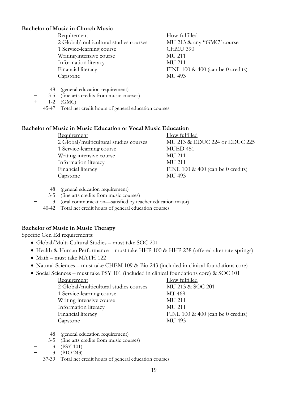#### **Bachelor of Music in Church Music**

Requirement How fulfilled

 2 Global/multicultural studies courses MU 213 & any "GMC" course 1 Service-learning course CHMU 390 Writing-intensive course MU 211 Information literacy MU 211 Financial literacy FINL 100 & 400 (can be 0 credits) Capstone MU 493

48 (general education requirement)

- − 3-5 (fine arts credits from music courses)
- + 1-2 (GMC)
	- 45-47 Total net credit hours of general education courses

#### **Bachelor of Music in Music Education or Vocal Music Education**

| Requirement                            | How fulfilled                     |
|----------------------------------------|-----------------------------------|
| 2 Global/multicultural studies courses | MU 213 & EDUC 224 or EDUC 225     |
| 1 Service-learning course              | MUED 451                          |
| Writing-intensive course               | <b>MU 211</b>                     |
| Information literacy                   | <b>MU 211</b>                     |
| Financial literacy                     | FINL 100 & 400 (can be 0 credits) |
| Capstone                               | MU 493                            |
|                                        |                                   |

48 (general education requirement)

- − 3-5 (fine arts credits from music courses)
- 3 (oral communication—satisfied by teacher education major)

40-42 Total net credit hours of general education courses

#### **Bachelor of Music in Music Therapy**

Specific Gen Ed requirements:

- Global/Multi-Cultural Studies must take SOC 201
- Health & Human Performance must take HHP 100 & HHP 238 (offered alternate springs)
- Math must take MATH 122
- Natural Sciences must take CHEM 109 & Bio 243 (included in clinical foundations core)
- Social Sciences must take PSY 101 (included in clinical foundations core) & SOC 101

| Requirement                            | How fulfilled                     |
|----------------------------------------|-----------------------------------|
| 2 Global/multicultural studies courses | MU 213 & SOC 201                  |
| 1 Service-learning course              | MT 469                            |
| Writing-intensive course               | <b>MU 211</b>                     |
| Information literacy                   | <b>MU 211</b>                     |
| Financial literacy                     | FINL 100 & 400 (can be 0 credits) |
| Capstone                               | MU 493                            |

48 (general education requirement)

- − 3-5 (fine arts credits from music courses)
- − 3 (PSY 101)

− 3 (BIO 243)

37-39 Total net credit hours of general education courses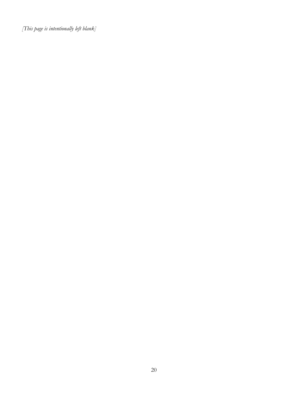*[This page is intentionally left blank]*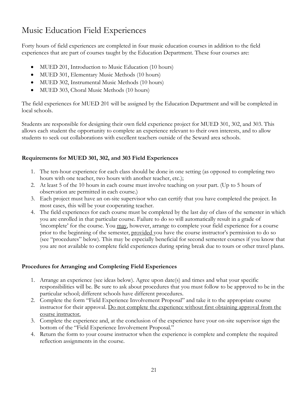### Music Education Field Experiences

Forty hours of field experiences are completed in four music education courses in addition to the field experiences that are part of courses taught by the Education Department. These four courses are:

- MUED 201, Introduction to Music Education (10 hours)
- MUED 301, Elementary Music Methods (10 hours)
- MUED 302, Instrumental Music Methods (10 hours)
- MUED 303, Choral Music Methods (10 hours)

The field experiences for MUED 201 will be assigned by the Education Department and will be completed in local schools.

Students are responsible for designing their own field experience project for MUED 301, 302, and 303. This allows each student the opportunity to complete an experience relevant to their own interests, and to allow students to seek out collaborations with excellent teachers outside of the Seward area schools.

#### **Requirements for MUED 301, 302, and 303 Field Experiences**

- 1. The ten-hour experience for each class should be done in one setting (as opposed to completing two hours with one teacher, two hours with another teacher, etc.);
- 2. At least 5 of the 10 hours in each course must involve teaching on your part. (Up to 5 hours of observation are permitted in each course.)
- 3. Each project must have an on-site supervisor who can certify that you have completed the project. In most cases, this will be your cooperating teacher.
- 4. The field experiences for each course must be completed by the last day of class of the semester in which you are enrolled in that particular course. Failure to do so will automatically result in a grade of 'incomplete' for the course. You may, however, arrange to complete your field experience for a course prior to the beginning of the semester, provided you have the course instructor's permission to do so (see "procedures" below). This may be especially beneficial for second semester courses if you know that you are not available to complete field experiences during spring break due to tours or other travel plans.

#### **Procedures for Arranging and Completing Field Experiences**

- 1. Arrange an experience (see ideas below). Agree upon date(s) and times and what your specific responsibilities will be. Be sure to ask about procedures that you must follow to be approved to be in the particular school; different schools have different procedures.
- 2. Complete the form "Field Experience Involvement Proposal" and take it to the appropriate course instructor for their approval. Do not complete the experience without first obtaining approval from the course instructor.
- 3. Complete the experience and, at the conclusion of the experience have your on-site supervisor sign the bottom of the "Field Experience Involvement Proposal."
- 4. Return the form to your course instructor when the experience is complete and complete the required reflection assignments in the course.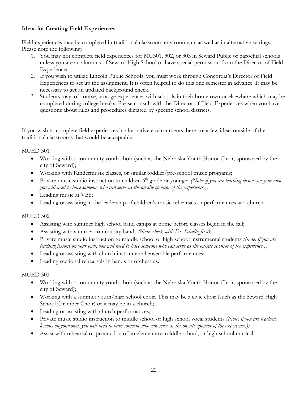#### **Ideas for Creating Field Experiences**

Field experiences may be completed in traditional classroom environments as well as in alternative settings. Please note the following:

- 1. You may not complete field experiences for MU301, 302, or 303 in Seward Public or parochial schools unless you are an alumnus of Seward High School or have special permission from the Director of Field Experiences.
- 2. If you wish to utilize Lincoln Public Schools, you must work through Concordia's Director of Field Experiences to set up the assignment. It is often helpful to do this one semester in advance. It may be necessary to get an updated background check.
- 3. Students may, of course, arrange experiences with schools in their hometown or elsewhere which may be completed during college breaks. Please consult with the Director of Field Experiences when you have questions about rules and procedures dictated by specific school districts.

If you wish to complete field experiences in alternative environments, here are a few ideas outside of the traditional classrooms that would be acceptable:

#### MUED 301

- Working with a community youth choir (such as the Nebraska Youth Honor Choir, sponsored by the city of Seward);
- Working with Kindermusik classes, or similar toddler/pre-school music programs;
- Private music studio instruction to children 6<sup>th</sup> grade or younger *(Note: if you are teaching lessons on your own*, *you will need to have someone who can serve as the on-site sponsor of the experience.)*;
- Leading music at VBS;
- Leading or assisting in the leadership of children's music rehearsals or performances at a church.

#### MUED 302

- Assisting with summer high school band camps at home before classes begin in the fall;
- Assisting with summer community bands *(Note: check with Dr. Schultz first)*;
- Private music studio instruction to middle school or high school instrumental students *(Note: if you are teaching lessons on your own, you will need to have someone who can serve as the on-site sponsor of the experience.)*;
- Leading or assisting with church instrumental ensemble performances;
- Leading sectional rehearsals in bands or orchestras.

#### MUED 303

- Working with a community youth choir (such as the Nebraska Youth Honor Choir, sponsored by the city of Seward);
- Working with a summer youth/high school choir. This may be a civic choir (such as the Seward High School Chamber Choir) or it may be in a church;
- Leading or assisting with church performances;
- Private music studio instruction to middle school or high school vocal students *(Note: if you are teaching lessons on your own, you will need to have someone who can serve as the on-site sponsor of the experience.);*
- Assist with rehearsal or production of an elementary, middle school, or high school musical.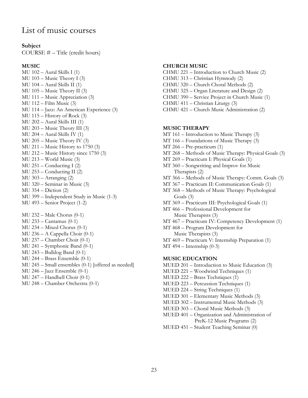### List of music courses

#### **Subject**

COURSE  $#$  – Title (credit hours)

#### **MUSIC**

MU 102 – Aural Skills I (1) MU 103 – Music Theory I (3) MU 104 – Aural Skills II (1) MU 105 – Music Theory II (3) MU 111 – Music Appreciation (3) MU 112 – Film Music (3) MU 114 – Jazz: An American Experience (3) MU 115 – History of Rock (3) MU 202 – Aural Skills III (1) MU 203 – Music Theory III (3) MU 204 – Aural Skills IV (1) MU 205 – Music Theory IV (3) MU 211 – Music History to 1750 (3) MU 212 – Music History since 1750 (3) MU 213 – World Music (3) MU 251 – Conducting I (2) MU 253 – Conducting II (2) MU 303 – Arranging (2) MU 320 – Seminar in Music (3) MU 354 – Diction (2) MU 399 – Independent Study in Music (1-3) MU 493 – Senior Project (1-2) MU 232 – Male Chorus (0-1) MU 233 – Cantamus (0-1) MU 234 – Mixed Chorus (0-1) MU 236 – A Cappella Choir (0-1) MU 237 – Chamber Choir (0-1)

MU 241 – Symphonic Band (0-1)  $MU$  243 – Bulldog Band (0-1) MU 244 – Brass Ensemble (0-1)

MU 246 – Jazz Ensemble (0-1) MU 247 – Handbell Choir (0-1) MU 248 – Chamber Orchestra (0-1)

MU 245 – Small ensembles (0-1) [offered as needed]

#### **CHURCH MUSIC**

- CHMU 221 Introduction to Church Music (2) CHMU 313 – Christian Hymnody (2) CHMU 320 – Church Choral Methods (2) CHMU 325 – Organ Literature and Design (2) CHMU 390 – Service Project in Church Music (1)
	- CHMU 411 Christian Liturgy (3)
	- CHMU 421 Church Music Administration (2)

#### **MUSIC THERAPY**

- MT 161 Introduction to Music Therapy (3)
- MT 166 Foundations of Music Therapy (3)
- MT 266 Pre-practicum (1)
- MT 268 Methods of Music Therapy: Physical Goals (3)
- MT 269 Practicum I: Physical Goals (1)
- MT 360 Songwriting and Improv for Music Therapists (2)
- MT 366 Methods of Music Therapy: Comm. Goals (3)
- MT 367 Practicum II: Communication Goals (1)
- MT 368 Methods of Music Therapy: Psychological Goals (3)
- MT 369 Practicum III: Psychological Goals (1)
- MT 466 Professional Development for Music Therapists (3)
- MT 467 Practicum IV: Competency Development (1)
- MT 468 Program Development for Music Therapists (3)
- MT 469 Practicum V: Internship Preparation (1)
- $MT 494 Internship (0-3)$

#### **MUSIC EDUCATION**

- MUED 201 Introduction to Music Education (3)
- MUED 221 Woodwind Techniques (1)
- MUED 222 Brass Techniques (1)
- MUED 223 Percussion Techniques (1)
- MUED 224 String Techniques (1)
- MUED 301 Elementary Music Methods (3)
- MUED 302 Instrumental Music Methods (3)
- MUED 303 Choral Music Methods (3)
- MUED 401 Organization and Administration of PreK-12 Music Programs (2)
- MUED 451 Student Teaching Seminar (0)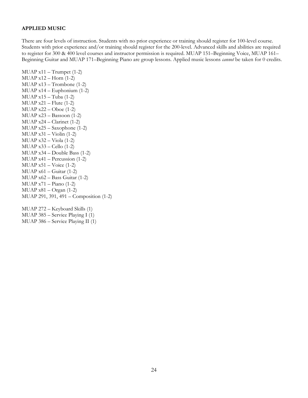#### **APPLIED MUSIC**

There are four levels of instruction. Students with no prior experience or training should register for 100-level course. Students with prior experience and/or training should register for the 200-level. Advanced skills and abilities are required to register for 300 & 400 level courses and instructor permission is required. MUAP 151–Beginning Voice, MUAP 161– Beginning Guitar and MUAP 171–Beginning Piano are group lessons. Applied music lessons *cannot* be taken for 0 credits.

 $MUAP x11 - Trumpet (1-2)$ MUAP x12 – Horn (1-2) MUAP x13 – Trombone (1-2) MUAP x14 – Euphonium (1-2) MUAP x15 – Tuba (1-2)  $MUAP$  x21 – Flute (1-2) MUAP x22 – Oboe (1-2) MUAP x23 – Bassoon (1-2) MUAP x24 – Clarinet (1-2) MUAP x25 – Saxophone (1-2)  $MUAP x31 - Violin (1-2)$ MUAP x32 – Viola (1-2) MUAP x33 – Cello (1-2) MUAP x34 – Double Bass (1-2) MUAP x41 – Percussion (1-2)  $MUAP$  x51 – Voice (1-2)  $MUAP$  x61 – Guitar (1-2) MUAP x62 – Bass Guitar (1-2)  $MUAP x71 - Piano (1-2)$ MUAP x81 – Organ (1-2) MUAP 291, 391, 491 – Composition (1-2)

MUAP 272 – Keyboard Skills (1) MUAP 385 – Service Playing I (1) MUAP 386 – Service Playing II (1)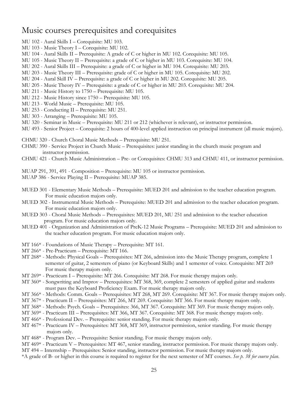### Music courses prerequisites and corequisites

- MU 102 Aural Skills I Corequisite: MU 103.
- MU 103 Music Theory I Corequisite: MU 102.
- MU 104 Aural Skills II Prerequisite: A grade of C or higher in MU 102. Corequisite: MU 105.
- MU 105 Music Theory II Prerequisite: a grade of C or higher in MU 103. Corequisite: MU 104.
- MU 202 Aural Skills III Prerequisite: a grade of C or higher in MU 104. Corequisite: MU 203.
- MU 203 Music Theory III Prerequisite: grade of C or higher in MU 105. Corequisite: MU 202.
- MU 204 Aural Skill IV Prerequisite: a grade of C or higher in MU 202. Corequisite: MU 205.
- MU 205 Music Theory IV Prerequisite: a grade of C or higher in MU 203. Corequisite: MU 204.
- MU 211 Music History to 1750 Prerequisite: MU 105.
- MU 212 Music History since 1750 Prerequisite: MU 105.
- MU 213 World Music Prerequisite: MU 105.
- MU 253 Conducting II Prerequisite: MU 251.
- MU 303 Arranging Prerequisite: MU 105.
- MU 320 Seminar in Music Prerequisite: MU 211 or 212 (whichever is relevant), or instructor permission.
- MU 493 Senior Project Corequisite: 2 hours of 400-level applied instruction on principal instrument (all music majors).
- CHMU 320 Church Choral Music Methods Prerequisite: MU 251.
- CHMU 390 Service Project in Church Music Prerequisites: junior standing in the church music program and instructor permission.
- CHMU 421 Church Music Administration Pre- or Corequisites: CHMU 313 and CHMU 411, or instructor permission.
- MUAP 291, 391, 491 Composition Prerequisite: MU 105 or instructor permission.
- MUAP 386 Service Playing II Prerequisite: MUAP 385.
- MUED 301 Elementary Music Methods Prerequisite: MUED 201 and admission to the teacher education program. For music education majors only.
- MUED 302 Instrumental Music Methods Prerequisite: MUED 201 and admission to the teacher education program. For music education majors only.
- MUED 303 Choral Music Methods Prerequisites: MUED 201, MU 251 and admission to the teacher education program. For music education majors only.
- MUED 401 Organization and Administration of PreK-12 Music Programs Prerequisite: MUED 201 and admission to the teacher education program. For music education majors only.
- MT 166\* Foundations of Music Therapy Prerequisite: MT 161.
- MT 266\* Pre-Practicum Prerequisite: MT 166.
- MT 268\* Methods: Physical Goals Prerequisites: MT 266, admission into the Music Therapy program, complete 1 semester of guitar, 2 semesters of piano (or Keyboard Skills) and 1 semester of voice. Corequisite: MT 269 For music therapy majors only.
- MT 269\* Practicum I Prerequisite: MT 266. Corequisite: MT 268. For music therapy majors only.
- MT 360\* Songwriting and Improv Prerequisites: MT 368, 369, complete 2 semesters of applied guitar and students must pass the Keyboard Proficiency Exam. For music therapy majors only.
- MT 366\* Methods: Comm. Goals Prerequisites: MT 268, MT 269. Corequisite: MT 367. For music therapy majors only.
- MT 367\* Practicum II Prerequisites: MT 266, MT 269. Corequisite: MT 366. For music therapy majors only.
- MT 368\* Methods: Psych. Goals Prerequisites: 366, MT 367. Corequisite: MT 369. For music therapy majors only.
- MT 369\* Practicum III Prerequisites: MT 366, MT 367. Corequisite: MT 368. For music therapy majors only.
- MT 466\* Professional Dev. Prerequisite: senior standing. For music therapy majors only.
- MT 467\* Practicum IV Prerequisites: MT 368, MT 369, instructor permission, senior standing. For music therapy majors only.
- MT 468\* Program Dev. Prerequisite: Senior standing. For music therapy majors only.
- MT 469\* Practicum V Prerequisites: MT 467, senior standing, instructor permission. For music therapy majors only.
- MT 494 Internship Prerequisites: Senior standing, instructor permission. For music therapy majors only.
- \*A grade of B- or higher in this course is required to register for the next semester of MT courses. *See p. 38 for course plan.*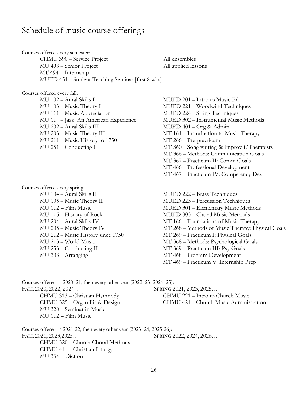#### Schedule of music course offerings

Courses offered every semester: CHMU 390 – Service Project All ensembles MU 493 – Senior Project All applied lessons MT 494 – Internship MUED 451 – Student Teaching Seminar [first 8 wks]

Courses offered every fall:

MU 102 – Aural Skills I MU 103 – Music Theory I MU 111 – Music Appreciation MU 114 – Jazz: An American Experience MU 202 – Aural Skills III MU 203 – Music Theory III MU 211 – Music History to 1750 MU 251 – Conducting I

Courses offered every spring:

 MU 104 – Aural Skills II MU 105 – Music Theory II MU 112 – Film Music MU 115 – History of Rock MU 204 – Aural Skills IV MU 205 – Music Theory IV MU 212 – Music History since 1750 MU 213 – World Music MU 253 – Conducting II MU 303 – Arranging

- MUED 201 Intro to Music Ed MUED 221 – Woodwind Techniques MUED 224 – String Techniques MUED 302 – Instrumental Music Methods MUED 401 – Org & Admin MT 161 – Introduction to Music Therapy MT 266 – Pre-practicum MT 360 – Song writing & Improv f/Therapists MT 366 – Methods: Communication Goals MT 367 – Practicum II: Comm Goals MT 466 – Professional Development MT 467 – Practicum IV: Competency Dev
- MUED 222 Brass Techniques MUED 223 – Percussion Techniques MUED 301 – Elementary Music Methods MUED 303 – Choral Music Methods MT 166 – Foundations of Music Therapy MT 268 – Methods of Music Therapy: Physical Goals MT 269 – Practicum I: Physical Goals MT 368 – Methods: Psychological Goals MT 369 – Practicum III: Psy Goals MT 468 – Program Development MT 469 – Practicum V: Internship Prep

Courses offered in 2020–21, then every other year (2022–23, 2024–25): FALL 2020, 2022, 2024… CHMU 313 – Christian Hymnody CHMU 325 – Organ Lit & Design MU 320 – Seminar in Music SPRING 2021, 2023, 2025... CHMU 221 – Intro to Church Music CHMU 421 – Church Music Administration

Courses offered in 2021-22, then every other year (2023–24, 2025-26): FALL 2021, 2023,2025… CHMU 320 – Church Choral Methods CHMU 411 – Christian Liturgy SPRING 2022, 2024, 2026…

MU 354 – Diction

MU 112 – Film Music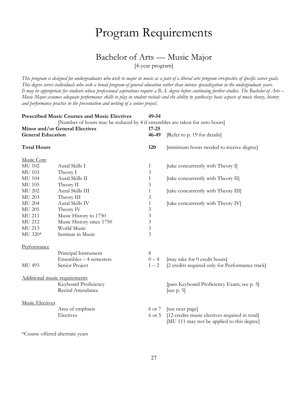## Program Requirements

#### Bachelor of Arts — Music Major [4-year program]

*This program is designed for undergraduates who wish to major in music as a part of a liberal arts program irrespective of specific career goals. This degree serves individuals who seek a broad program of general education rather than intense specialization in the undergraduate years. It may be appropriate for students whose professional aspirations require a B.A. degree before continuing further studies. The Bachelor of Arts – Music Major assumes adequate performance skills to play in student recitals and the ability to synthesize basic aspects of music theory, history and performance practice in the presentation and writing of a senior project.* 

| <b>Prescribed Music Courses and Music Electives</b><br>49-54                |                                            |                    |                                                                                              |  |
|-----------------------------------------------------------------------------|--------------------------------------------|--------------------|----------------------------------------------------------------------------------------------|--|
| [Number of hours may be reduced by 4 if ensembles are taken for zero hours] |                                            |                    |                                                                                              |  |
| Minor and/or General Electives<br><b>General Education</b>                  |                                            | $17 - 25$<br>46-49 | [Refer to p. 19 for details]                                                                 |  |
| <b>Total Hours</b>                                                          |                                            | 120                | [minimum hours needed to receive degree]                                                     |  |
| <b>Music Core</b>                                                           |                                            |                    |                                                                                              |  |
| <b>MU 102</b>                                                               | Aural Skills I                             | 1                  | [take concurrently with Theory I]                                                            |  |
| <b>MU 103</b>                                                               | Theory I                                   | 3                  |                                                                                              |  |
| <b>MU 104</b>                                                               | Aural Skills II                            | 1                  | [take concurrently with Theory II]                                                           |  |
| <b>MU 105</b>                                                               | Theory II                                  | $\mathfrak{Z}$     |                                                                                              |  |
| <b>MU 202</b>                                                               | Aural Skills III                           | 1                  | [take concurrently with Theory III]                                                          |  |
| <b>MU 203</b>                                                               | Theory III                                 | 3                  |                                                                                              |  |
| <b>MU 204</b>                                                               | Aural Skills IV                            | 1                  | [take concurrently with Theory IV]                                                           |  |
| <b>MU 205</b>                                                               | Theory IV                                  | $\mathfrak{Z}$     |                                                                                              |  |
| <b>MU 211</b>                                                               | Music History to 1750                      | $\mathfrak{Z}$     |                                                                                              |  |
| <b>MU 212</b>                                                               | Music History since 1750                   | $\mathfrak{Z}$     |                                                                                              |  |
| <b>MU 213</b>                                                               | World Music                                | $\mathfrak{Z}$     |                                                                                              |  |
| MU 320*                                                                     | Seminar in Music                           | $\overline{3}$     |                                                                                              |  |
| Performance                                                                 |                                            |                    |                                                                                              |  |
|                                                                             | Principal Instrument                       | $8\phantom{.0}$    |                                                                                              |  |
|                                                                             | Ensembles - 4 semesters                    | $0 - 4$            | [may take for 0 credit hours]                                                                |  |
| MU 493                                                                      | Senior Project                             | $1 - 2$            | [2 credits required only for Performance track]                                              |  |
| Additional music requirements                                               |                                            |                    |                                                                                              |  |
|                                                                             | Keyboard Proficiency<br>Recital Attendance |                    | [pass Keyboard Proficiency Exam; see p. 5]<br>[see $p. 5$ ]                                  |  |
| <b>Music Electives</b>                                                      |                                            |                    |                                                                                              |  |
|                                                                             | Area of emphasis                           | 6 or 7             | [see next page]                                                                              |  |
|                                                                             | Electives                                  | 6 or 5             | [12 credits music electives required in total]<br>[MU 111 may not be applied to this degree] |  |

\*Course offered alternate years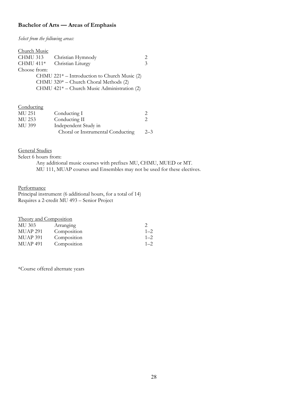#### **Bachelor of Arts — Areas of Emphasis**

*Select from the following areas:* 

| Church Music |                                                   |                             |
|--------------|---------------------------------------------------|-----------------------------|
| CHMU 313     | Christian Hymnody                                 | $\mathcal{D}_{\mathcal{L}}$ |
| CHMU $411*$  | Christian Liturgy                                 | $\mathcal{Z}$               |
| Choose from: |                                                   |                             |
|              | CHMU $221^*$ – Introduction to Church Music (2)   |                             |
|              | CHMU 320 <sup>*</sup> – Church Choral Methods (2) |                             |
|              | CHMU 421* - Church Music Administration (2)       |                             |

**Conducting** 

| MU 251 | Conducting I                      |         |
|--------|-----------------------------------|---------|
| MU 253 | Conducting II                     |         |
| MU 399 | Independent Study in              |         |
|        | Choral or Instrumental Conducting | $2 - 3$ |

General Studies

Select 6 hours from:

 Any additional music courses with prefixes MU, CHMU, MUED or MT. MU 111, MUAP courses and Ensembles may not be used for these electives.

**Performance** 

Principal instrument (6 additional hours, for a total of 14) Requires a 2-credit MU 493 – Senior Project

| Theory and Composition |             |         |  |
|------------------------|-------------|---------|--|
| MU 303                 | Arranging   |         |  |
| MUAP 291               | Composition | $1 - 2$ |  |
| MUAP 391               | Composition | $1 - 2$ |  |
| MUAP <sub>491</sub>    | Composition | $1 - 2$ |  |

\*Course offered alternate years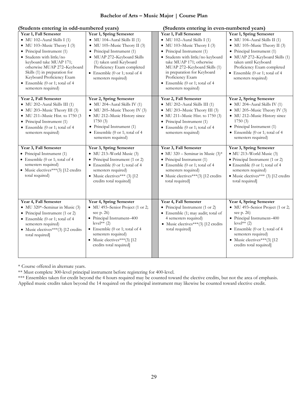#### **Bachelor of Arts – Music Major | Course Plan**

| (Students entering in odd-numbered years)                                                                                                                                                                                                                                                                                                       |                                                                                                                                                                                                                                                                          | (Students entering in even-numbered years)                                                                                                                                                                                                                                                                                                                                                                                                                                                                                                                                                                                          |  |  |
|-------------------------------------------------------------------------------------------------------------------------------------------------------------------------------------------------------------------------------------------------------------------------------------------------------------------------------------------------|--------------------------------------------------------------------------------------------------------------------------------------------------------------------------------------------------------------------------------------------------------------------------|-------------------------------------------------------------------------------------------------------------------------------------------------------------------------------------------------------------------------------------------------------------------------------------------------------------------------------------------------------------------------------------------------------------------------------------------------------------------------------------------------------------------------------------------------------------------------------------------------------------------------------------|--|--|
| Year 1, Fall Semester<br>$\bullet$ MU 102-Aural Skills I (1)<br>• MU 103-Music Theory I (3)<br>• Principal Instrument (1)<br>• Students with little/no<br>keyboard take MUAP 171;<br>otherwise MUAP 272-Keyboard<br>Skills (1) in preparation for<br>Keyboard Proficiency Exam<br>$\bullet$ Ensemble (0 or 1; total of 4<br>semesters required) | Year 1, Spring Semester<br>• MU 104-Aural Skills II (1)<br>• MU 105-Music Theory II $(3)$<br>• Principal Instrument (1)<br>· MUAP 272-Keyboard Skills<br>(1) taken until Keyboard<br>Proficiency Exam completed<br>• Ensemble (0 or 1; total of 4<br>semesters required) | Year 1, Fall Semester<br>Year 1, Spring Semester<br>$\bullet$ MU 102-Aural Skills I (1)<br>• MU 104-Aural Skills II (1)<br>• MU 103-Music Theory I (3)<br>• MU 105-Music Theory II $(3)$<br>· Principal Instrument (1)<br>• Principal Instrument (1)<br>• Students with little/no keyboard<br>· MUAP 272-Keyboard Skills (1)<br>taken until Keyboard<br>take MUAP 171; otherwise<br>Proficiency Exam completed<br>MUAP 272-Keyboard Skills (1)<br>in preparation for Keyboard<br>$\bullet$ Ensemble (0 or 1; total of 4<br>Proficiency Exam<br>semesters required)<br>$\bullet$ Ensemble (0 or 1; total of 4<br>semesters required) |  |  |
| Year 2, Fall Semester<br>• MU 202-Aural Skills III (1)<br>• MU 203-Music Theory III (3)<br>$\bullet$ MU 211–Music Hist. to 1750 (3<br>• Principal Instrument (1)<br>$\bullet$ Ensemble (0 or 1; total of 4<br>semesters required)                                                                                                               | Year 2, Spring Semester<br>• MU 204-Aural Skills IV (1)<br>• MU 205-Music Theory IV (3)<br>• MU 212-Music History since<br>1750(3)<br>• Principal Instrument (1)<br>$\bullet$ Ensemble (0 or 1; total of 4<br>semesters required)                                        | Year 2, Fall Semester<br>Year 2, Spring Semester<br>• MU 202-Aural Skills III (1)<br>• MU 204-Aural Skills IV (1)<br>• MU 203-Music Theory III (3)<br>• MU 205-Music Theory IV (3)<br>• MU 211-Music Hist. to 1750 (3)<br>• MU 212-Music History since<br>1750(3)<br>• Principal Instrument (1)<br>• Principal Instrument (1)<br>$\bullet$ Ensemble (0 or 1; total of 4<br>$\bullet$ Ensemble (0 or 1; total of 4<br>semesters required)<br>semesters required)                                                                                                                                                                     |  |  |
| Year 3, Fall Semester<br>• Principal Instrument (1)<br>$\bullet$ Ensemble (0 or 1; total of 4<br>semesters required)<br>• Music electives *** $(3)$ [12 credits<br>total required)                                                                                                                                                              | Year 3, Spring Semester<br>$\bullet$ MU 213-World Music (3)<br>• Principal Instrument (1 or 2)<br>$\bullet$ Ensemble (0 or 1; total of 4<br>semesters required)<br>• Music electives *** (3) [12<br>credits total required]                                              | Year 3, Fall Semester<br>Year 3, Spring Semester<br>• MU 320 – Seminar in Music $(3)^*$<br>· MU 213-World Music (3)<br>• Principal Instrument (1)<br>· Principal Instrument (1 or 2)<br>$\bullet$ Ensemble (0 or 1; total of 4<br>• Ensemble (0 or 1; total of 4<br>semesters required)<br>semesters required)<br>• Music electives *** (3) [12 credits<br>• Music electives *** (3) [12 credits<br>total required]<br>total required]                                                                                                                                                                                              |  |  |
| Year 4, Fall Semester<br>• MU 320*-Seminar in Music (3)<br>• Principal Instrument (1 or 2)<br>$\bullet$ Ensemble (0 or 1; total of 4<br>semesters required)<br>• Music electives***(3) [12 credits<br>total required]                                                                                                                           | Year 4, Spring Semester<br>• MU 493-Senior Project (1 or 2;<br>see $p. 26$<br>· Principal Instrument-400<br>level** $(2)$<br>• Ensemble (0 or 1; total of 4<br>semesters required)<br>• Music electives *** $(3)$ [12<br>credits total required]                         | Year 4, Fall Semester<br>Year 4, Spring Semester<br>• Principal Instrument (1 or 2)<br>• MU 493-Senior Project (1 or 2;<br>see $p. 26$<br>• Ensemble (1; may audit; total of<br>4 semesters required)<br>· Principal Instrument-400<br>$level** (2)$<br>• Music electives *** (3) [12 credits<br>$\bullet$ Ensemble (0 or 1; total of 4<br>total required]<br>semesters required)<br>• Music electives *** $(3)$ [12<br>credits total required]                                                                                                                                                                                     |  |  |

\* Course offered in alternate years.

\*\* Must complete 300-level principal instrument before registering for 400-level.

\*\*\* Ensembles taken for credit beyond the 4 hours required may be counted toward the elective credits, but not the area of emphasis. Applied music credits taken beyond the 14 required on the principal instrument may likewise be counted toward elective credit.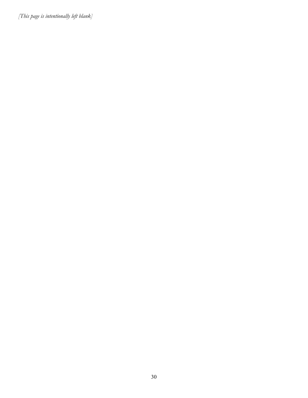*[This page is intentionally left blank]*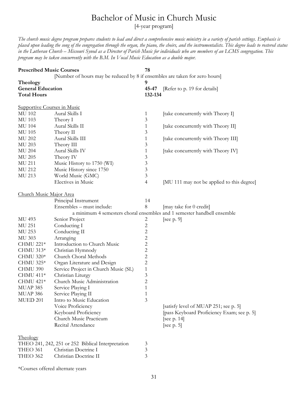### Bachelor of Music in Church Music

[4-year program]

*The church music degree program prepares students to lead and direct a comprehensive music ministry in a variety of parish settings. Emphasis is placed upon leading the song of the congregation through the organ, the piano, the choirs, and the instrumentalists. This degree leads to rostered status in the Lutheran Church – Missouri Synod as a Director of Parish Music for individuals who are members of an LCMS congregation. This program may be taken concurrently with the B.M. In Vocal Music Education as a double major.* 

| <b>Prescribed Music Courses</b>    |                                                                             | 78             |                                                                                                    |
|------------------------------------|-----------------------------------------------------------------------------|----------------|----------------------------------------------------------------------------------------------------|
|                                    | [Number of hours may be reduced by 8 if ensembles are taken for zero hours] |                |                                                                                                    |
| Theology                           |                                                                             | 9              |                                                                                                    |
| <b>General Education</b>           |                                                                             | 45-47          | [Refer to p. 19 for details]                                                                       |
| <b>Total Hours</b>                 |                                                                             | 132-134        |                                                                                                    |
| <b>Supportive Courses in Music</b> |                                                                             |                |                                                                                                    |
| <b>MU 102</b>                      | Aural Skills I                                                              | $\mathbf{1}$   | [take concurrently with Theory I]                                                                  |
| <b>MU 103</b>                      | Theory I                                                                    | $\mathfrak{Z}$ |                                                                                                    |
| <b>MU 104</b>                      | Aural Skills II                                                             | $\mathbf{1}$   | [take concurrently with Theory II]                                                                 |
| <b>MU 105</b>                      | Theory II                                                                   | $\mathfrak{Z}$ |                                                                                                    |
| <b>MU 202</b>                      | Aural Skills III                                                            | $\mathbf{1}$   | [take concurrently with Theory III]                                                                |
| <b>MU 203</b>                      | Theory III                                                                  | $\mathfrak{Z}$ |                                                                                                    |
| <b>MU 204</b>                      | Aural Skills IV                                                             | $\,1\,$        | [take concurrently with Theory IV]                                                                 |
| <b>MU 205</b>                      | Theory IV                                                                   | $\mathfrak{Z}$ |                                                                                                    |
| <b>MU 211</b>                      | Music History to 1750 (WI)                                                  | $\mathfrak{Z}$ |                                                                                                    |
| <b>MU 212</b>                      | Music History since 1750                                                    | $\overline{3}$ |                                                                                                    |
| MU 213                             | World Music (GMC)                                                           | $\overline{3}$ |                                                                                                    |
|                                    | Electives in Music                                                          | $\overline{4}$ | [MU 111 may not be applied to this degree]                                                         |
|                                    |                                                                             |                |                                                                                                    |
| Church Music Major Area            |                                                                             |                |                                                                                                    |
|                                    | Principal Instrument<br>Ensembles - must include:                           | 14<br>8        |                                                                                                    |
|                                    |                                                                             |                | [may take for 0 credit]<br>a minimum 4 semesters choral ensembles and 1 semester handbell ensemble |
| MU 493                             | Senior Project                                                              | $\overline{c}$ | [see $p. 9$ ]                                                                                      |
| <b>MU 251</b>                      | Conducting I                                                                | $\overline{c}$ |                                                                                                    |
| MU 253                             | Conducting II                                                               | $\overline{c}$ |                                                                                                    |
| <b>MU 303</b>                      | Arranging                                                                   | $\overline{c}$ |                                                                                                    |
| <b>CHMU 221*</b>                   | Introduction to Church Music                                                | $\overline{c}$ |                                                                                                    |
| CHMU 313*                          | Christian Hymnody                                                           | $\overline{c}$ |                                                                                                    |
| CHMU 320*                          | Church Choral Methods                                                       | $\overline{c}$ |                                                                                                    |
| CHMU 325*                          | Organ Literature and Design                                                 | $\overline{c}$ |                                                                                                    |
| CHMU 390                           | Service Project in Church Music (SL)                                        | $\,1\,$        |                                                                                                    |
| <b>CHMU 411*</b>                   | Christian Liturgy                                                           | $\mathfrak{Z}$ |                                                                                                    |
| CHMU 421*                          | Church Music Administration                                                 | $\overline{c}$ |                                                                                                    |
| MUAP 385                           | Service Playing I                                                           | $\mathbf{1}$   |                                                                                                    |
| MUAP 386                           | Service Playing II                                                          | 1              |                                                                                                    |
| MUED 201                           | Intro to Music Education                                                    | 3              |                                                                                                    |
|                                    | Voice Proficiency                                                           |                | [satisfy level of MUAP 251; see p. 5]                                                              |
|                                    | Keyboard Proficiency                                                        |                | [pass Keyboard Proficiency Exam; see p. 5]                                                         |
|                                    | Church Music Practicum                                                      |                | [see $p. 14$ ]                                                                                     |
|                                    | Recital Attendance                                                          |                | [see $p. 5$ ]                                                                                      |
|                                    |                                                                             |                |                                                                                                    |
| Theology                           | THEO 241, 242, 251 or 252 Biblical Interpretation                           | 3              |                                                                                                    |
| <b>THEO 361</b>                    | Christian Doctrine I                                                        | $\mathfrak{Z}$ |                                                                                                    |
| THEO 362                           | Christian Doctrine II                                                       | $\overline{3}$ |                                                                                                    |
|                                    |                                                                             |                |                                                                                                    |

\*Courses offered alternate years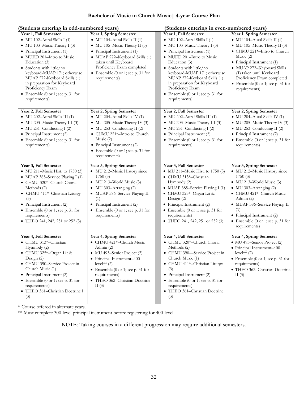#### **Bachelor of Music in Church Music| 4-year Course Plan**

| (Students entering in odd-numbered years)                                                                                                                                                                                                                                                                                                                                     |                                                                                                                                                                                                                                                                         | (Students entering in even-numbered years)                                                                                                                                                                                                                                                                                                                                    |                                                                                                                                                                                                                                                                                                                           |
|-------------------------------------------------------------------------------------------------------------------------------------------------------------------------------------------------------------------------------------------------------------------------------------------------------------------------------------------------------------------------------|-------------------------------------------------------------------------------------------------------------------------------------------------------------------------------------------------------------------------------------------------------------------------|-------------------------------------------------------------------------------------------------------------------------------------------------------------------------------------------------------------------------------------------------------------------------------------------------------------------------------------------------------------------------------|---------------------------------------------------------------------------------------------------------------------------------------------------------------------------------------------------------------------------------------------------------------------------------------------------------------------------|
| Year 1, Fall Semester<br>• MU 102-Aural Skills I (1)<br>• MU 103-Music Theory I (3)<br>• Principal Instrument (1)<br>• MUED 201-Intro to Music<br>Education (3)<br>$\bullet$ Students with little/no<br>keyboard-MUAP 171; otherwise<br>MUAP 272-Keyboard Skills (1)<br>in preparation for Keyboard<br>Proficiency Exam<br>• Ensemble (0 or 1; see p. 31 for<br>requirements) | Year 1, Spring Semester<br>• MU 104-Aural Skills II (1)<br>• MU 105-Music Theory II (3)<br>• Principal Instrument (1)<br>· MUAP 272-Keyboard Skills (1)<br>taken until Keyboard<br>Proficiency Exam completed<br>• Ensemble (0 or 1; see p. 31 for<br>requirements)     | Year 1, Fall Semester<br>• MU 102-Aural Skills I (1)<br>• MU 103-Music Theory I (3)<br>• Principal Instrument (1)<br>• MUED 201-Intro to Music<br>Education (3)<br>$\bullet$ Students with little/no<br>keyboard-MUAP 171; otherwise<br>MUAP 272-Keyboard Skills (1)<br>in preparation for Keyboard<br>Proficiency Exam<br>• Ensemble (0 or 1; see p. 31 for<br>requirements) | Year 1, Spring Semester<br>• MU 104-Aural Skills II (1)<br>• MU 105-Music Theory II (3)<br>• CHMU 221*-Intro to Church<br>Music $(2)$<br>• Principal Instrument (1)<br>· MUAP 272-Keyboard Skills<br>(1) taken until Keyboard<br>Proficiency Exam completed<br>$\bullet$ Ensemble (0 or 1; see p. 31 for<br>requirements) |
| Year 2, Fall Semester<br>• MU 202-Aural Skills III (1)<br>• MU 203-Music Theory III (3)<br>• MU 251-Conducting I $(2)$<br>• Principal Instrument (2)<br>• Ensemble (0 or 1; see p. 31 for<br>requirements)                                                                                                                                                                    | Year 2, Spring Semester<br>$\bullet$ MU 204-Aural Skills IV (1)<br>• MU 205-Music Theory IV (3)<br>• MU 253-Conducting II (2)<br>• CHMU 221*-Intro to Church<br>Music $(2)$<br>· Principal Instrument (2)<br>$\bullet$ Ensemble (0 or 1; see p. 31 for<br>requirements) | Year 2, Fall Semester<br>• MU 202-Aural Skills III (1)<br>• MU 203-Music Theory III (3)<br>$\bullet$ MU 251-Conducting I (2)<br>Principal Instrument (2)<br>$\bullet$ Ensemble (0 or 1; see p. 31 for<br>requirements)                                                                                                                                                        | Year 2, Spring Semester<br>• MU 204-Aural Skills IV (1)<br>• MU 205-Music Theory IV (3)<br>• MU 253-Conducting II (2)<br>· Principal Instrument (2)<br>$\bullet$ Ensemble (0 or 1; see p. 31 for<br>requirements)                                                                                                         |
| Year 3, Fall Semester<br>• MU 211-Music Hist. to 1750 (3)<br>• MUAP 385–Service Playing I (1)<br>• CHMU 320*-Church Choral<br>Methods (2)<br>• CHMU 411*-Christian Liturgy<br>(3)<br>• Principal Instrument (2)<br>• Ensemble (0 or 1; see p. 31 for<br>requirements)<br>• THEO 241, 242, 251 or 252 (3)                                                                      | Year 3, Spring Semester<br>• MU 212-Music History since<br>1750(3)<br>• MU 213-World Music (3)<br>$\bullet$ MU 303-Arranging (2)<br>• MUAP 386-Service Playing II<br>(1)<br>• Principal Instrument (2)<br>• Ensemble (0 or 1; see p. 31 for<br>requirements)            | Year 3, Fall Semester<br>• MU 211-Music Hist. to 1750 (3)<br>• CHMU 313*-Christian<br>Hymnody (2)<br>• MUAP 385-Service Playing I (1)<br>• CHMU 325*-Organ Lit &<br>Design (2)<br>• Principal Instrument (2)<br>$\bullet$ Ensemble (0 or 1; see p. 31 for<br>requirements)<br>• THEO 241, 242, 251 or 252 (3)                                                                 | Year 3, Spring Semester<br>• MU 212-Music History since<br>1750(3)<br>$\bullet$ MU 213-World Music (3)<br>• MU 303-Arranging (2)<br>• CHMU 421*-Church Music<br>Admin (2)<br>• MUAP 386-Service Playing II<br>(1)<br>· Principal Instrument (2)<br>$\bullet$ Ensemble (0 or 1; see p. 31 for<br>requirements)             |
| Year 4, Fall Semester<br>• CHMU 313*-Christian<br>Hymnody (2)<br>• CHMU 325*-Organ Lit &<br>Design (2)<br>• CHMU 390-Service Project in<br>Church Music (1)<br>• Principal Instrument (2)<br>• Ensemble (0 or 1; see p. 31 for<br>requirements)<br>• THEO 361-Christian Doctrine I<br>(3)                                                                                     | Year 4, Spring Semester<br>• CHMU 421*-Church Music<br>Admin (2)<br>• MU 493-Senior Project (2)<br>· Principal Instrument-400<br>$level** (2)$<br>$\bullet$ Ensemble (0 or 1; see p. 31 for<br>requirements)<br>· THEO 362-Christian Doctrine<br>II $(3)$               | Year 4, Fall Semester<br>• CHMU 320*-Church Choral<br>Methods (2)<br>• CHMU 390-Service Project in<br>Church Music (1)<br>• CHMU 411*-Christian Liturgy<br>(3)<br>• Principal Instrument (2)<br>• Ensemble (0 or 1; see p. 31 for<br>requirements)<br>• THEO 361-Christian Doctrine<br>(3)                                                                                    | Year 4, Spring Semester<br>· MU 493-Senior Project (2)<br>• Principal Instrument-400<br>$level** (2)$<br>$\bullet$ Ensemble (0 or 1; see p. 31 for<br>requirements)<br>· THEO 362-Christian Doctrine<br>II $(3)$                                                                                                          |

\* Course offered in alternate years.

\*\* Must complete 300-level principal instrument before registering for 400-level.

NOTE: Taking courses in a different progression may require additional semesters.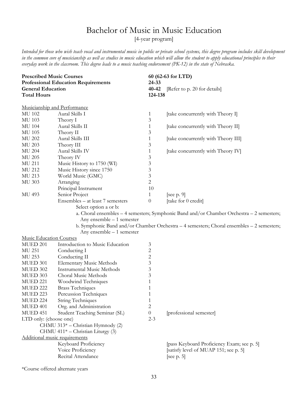### Bachelor of Music in Music Education

[4-year program]

*Intended for those who wish teach vocal and instrumental music in public or private school systems, this degree program includes skill development in the common core of musicianship as well as studies in music education which will allow the student to apply educational principles to their everyday work in the classroom. This degree leads to a music teaching endorsement (PK-12) in the state of Nebraska.* 

| <b>Prescribed Music Courses</b>            |                                               |                | 60 (62-63 for LTD)                                                                          |  |  |
|--------------------------------------------|-----------------------------------------------|----------------|---------------------------------------------------------------------------------------------|--|--|
| <b>Professional Education Requirements</b> |                                               | 24-33          |                                                                                             |  |  |
| <b>General Education</b>                   |                                               |                | 40-42 [Refer to p. 20 for details]                                                          |  |  |
| <b>Total Hours</b>                         |                                               | 124-138        |                                                                                             |  |  |
| Musicianship and Performance               |                                               |                |                                                                                             |  |  |
| <b>MU 102</b>                              | Aural Skills I                                | $\mathbf{1}$   | [take concurrently with Theory I]                                                           |  |  |
| <b>MU 103</b>                              | Theory I                                      | $\mathfrak{Z}$ |                                                                                             |  |  |
| <b>MU 104</b>                              | Aural Skills II                               | 1              | [take concurrently with Theory II]                                                          |  |  |
| <b>MU 105</b>                              | Theory II                                     | $\mathfrak{Z}$ |                                                                                             |  |  |
| <b>MU 202</b>                              | Aural Skills III                              | $\mathbf{1}$   | [take concurrently with Theory III]                                                         |  |  |
| <b>MU 203</b>                              | Theory III                                    | 3              |                                                                                             |  |  |
| <b>MU 204</b>                              | Aural Skills IV                               | $\mathbf{1}$   | [take concurrently with Theory IV]                                                          |  |  |
| <b>MU 205</b>                              | Theory IV                                     | 3              |                                                                                             |  |  |
| <b>MU 211</b>                              | Music History to 1750 (WI)                    | 3              |                                                                                             |  |  |
| <b>MU 212</b>                              | Music History since 1750                      | 3              |                                                                                             |  |  |
| MU 213                                     | World Music (GMC)                             | $\mathfrak{Z}$ |                                                                                             |  |  |
| <b>MU 303</b>                              | Arranging                                     | 2              |                                                                                             |  |  |
|                                            | Principal Instrument                          | 10             |                                                                                             |  |  |
| MU 493                                     | Senior Project                                | 1              | [see $p. 9$ ]                                                                               |  |  |
|                                            | Ensembles - at least 7 semesters              | $\theta$       | [take for 0 credit]                                                                         |  |  |
|                                            | Select option a or b:                         |                |                                                                                             |  |  |
|                                            |                                               |                | a. Choral ensembles - 4 semesters; Symphonic Band and/or Chamber Orchestra - 2 semesters;   |  |  |
|                                            | Any ensemble $-1$ semester                    |                |                                                                                             |  |  |
|                                            |                                               |                | b. Symphonic Band and/or Chamber Orchestra $-4$ semesters; Choral ensembles $-2$ semesters; |  |  |
|                                            | Any ensemble $-1$ semester                    |                |                                                                                             |  |  |
| <b>Music Education Courses</b>             |                                               |                |                                                                                             |  |  |
| MUED 201                                   | Introduction to Music Education               | 3              |                                                                                             |  |  |
| <b>MU 251</b>                              | Conducting I                                  | $\overline{c}$ |                                                                                             |  |  |
| MU 253                                     | Conducting II                                 | $\overline{c}$ |                                                                                             |  |  |
| MUED 301                                   | <b>Elementary Music Methods</b>               | 3              |                                                                                             |  |  |
| MUED 302                                   | <b>Instrumental Music Methods</b>             | 3              |                                                                                             |  |  |
| MUED 303                                   | Choral Music Methods                          | $\mathfrak{Z}$ |                                                                                             |  |  |
| MUED 221                                   | Woodwind Techniques                           | 1              |                                                                                             |  |  |
| MUED 222                                   | <b>Brass Techniques</b>                       | 1              |                                                                                             |  |  |
| MUED 223                                   | Percussion Techniques                         | 1              |                                                                                             |  |  |
| MUED 224                                   | <b>String Techniques</b>                      | 1              |                                                                                             |  |  |
| MUED 401                                   | Org. and Administration                       | $\overline{c}$ |                                                                                             |  |  |
| MUED 451                                   | Student Teaching Seminar (SL)                 | $\overline{0}$ | [professional semester]                                                                     |  |  |
| LTD only: (choose one)                     |                                               | $2 - 3$        |                                                                                             |  |  |
|                                            | CHMU 313* - Christian Hymnody (2)             |                |                                                                                             |  |  |
|                                            | CHMU 411 <sup>*</sup> – Christian Liturgy (3) |                |                                                                                             |  |  |
| Additional music requirements              |                                               |                |                                                                                             |  |  |
|                                            | Keyboard Proficiency                          |                | [pass Keyboard Proficiency Exam; see p. 5]                                                  |  |  |
|                                            | Voice Proficiency                             |                | [satisfy level of MUAP 151; see p. 5]                                                       |  |  |
|                                            | Recital Attendance                            |                | [see $p. 5$ ]                                                                               |  |  |

\*Course offered alternate years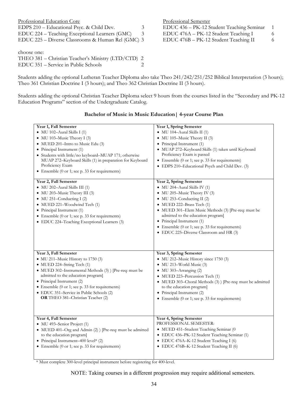| Professional Education Core                         |   | Professional Semester                     |                |
|-----------------------------------------------------|---|-------------------------------------------|----------------|
| EDPS 210 - Educational Psyc. & Child Dev.           | 3 | EDUC 436 - PK-12 Student Teaching Seminar | $\overline{1}$ |
| EDUC 224 – Teaching Exceptional Learners (GMC)      | 3 | EDUC 476A - PK-12 Student Teaching I      | 6              |
| EDUC 225 – Diverse Classrooms & Human Rel (GMC) 3   |   | EDUC 476B - PK-12 Student Teaching II     | 6              |
|                                                     |   |                                           |                |
| choose one:                                         |   |                                           |                |
| THEO 381 – Christian Teacher's Ministry (LTD/CTD) 2 |   |                                           |                |
| EDUC 351 – Service in Public Schools                |   |                                           |                |
|                                                     |   |                                           |                |

Students adding the optional Lutheran Teacher Diploma also take Theo 241/242/251/252 Biblical Interpretation (3 hours); Theo 361 Christian Doctrine I (3 hours); and Theo 362 Christian Doctrine II (3 hours).

Students adding the optional Christian Teacher Diploma select 9 hours from the courses listed in the "Secondary and PK-12 Education Programs" section of the Undergraduate Catalog.

#### **Bachelor of Music in Music Education| 4-year Course Plan**

| Year 1, Fall Semester<br>· MU 102-Aural Skills I (1)<br>• MU 103-Music Theory I (3)<br>• MUED 201-Intro to Music Edu (3)<br>• Principal Instrument (1)<br>• Students with little/no keyboard-MUAP 171; otherwise<br>MUAP 272-Keyboard Skills (1) in preparation for Keyboard<br>Proficiency Exam<br>$\bullet$ Ensemble (0 or 1; see p. 33 for requirements) | Year 1, Spring Semester<br>· MU 104-Aural Skills II (1)<br>• MU 105-Music Theory II (3)<br>• Principal Instrument (1)<br>· MUAP 272-Keyboard Skills (1) taken until Keyboard<br>Proficiency Exam is passed<br>• Ensemble (0 or 1; see p. 33 for requirements)<br>• EDPS 210-Educational Psych and Child Dev. (3)                                                            |
|-------------------------------------------------------------------------------------------------------------------------------------------------------------------------------------------------------------------------------------------------------------------------------------------------------------------------------------------------------------|-----------------------------------------------------------------------------------------------------------------------------------------------------------------------------------------------------------------------------------------------------------------------------------------------------------------------------------------------------------------------------|
| Year 2, Fall Semester<br>• MU 202-Aural Skills III (1)<br>• MU 203-Music Theory III (3)<br>• MU 251-Conducting I (2)<br>• MUED 221-Woodwind Tech (1)<br>• Principal Instrument (1)<br>$\bullet$ Ensemble (0 or 1; see p. 33 for requirements)<br>• EDUC 224-Teaching Exceptional Learners (3)                                                               | Year 2, Spring Semester<br>• MU 204-Aural Skills IV (1)<br>• MU 205-Music Theory IV (3)<br>• MU 253-Conducting II (2)<br>· MUED 222-Brass Tech (1)<br>· MUED 301-Elem Music Methods (3) [Pre-req: must be<br>admitted to the education program]<br>• Principal Instrument (1)<br>• Ensemble (0 or 1; see p. 33 for requirements)<br>• EDUC 225-Diverse Classroom and HR (3) |
| Year 3, Fall Semester                                                                                                                                                                                                                                                                                                                                       | Year 3, Spring Semester                                                                                                                                                                                                                                                                                                                                                     |
| • MU 211-Music History to 1750 (3)                                                                                                                                                                                                                                                                                                                          | • MU 212-Music History since 1750 (3)                                                                                                                                                                                                                                                                                                                                       |
| • MUED 224-String Tech (1)                                                                                                                                                                                                                                                                                                                                  | • MU 213-World Music (3)                                                                                                                                                                                                                                                                                                                                                    |
| • MUED 302-Instrumental Methods (3) ) [Pre-req: must be                                                                                                                                                                                                                                                                                                     | · MU 303-Arranging (2)                                                                                                                                                                                                                                                                                                                                                      |
| admitted to the education program]                                                                                                                                                                                                                                                                                                                          | • MUED 223-Percussion Tech (1)                                                                                                                                                                                                                                                                                                                                              |
| · Principal Instrument (2)                                                                                                                                                                                                                                                                                                                                  | • MUED 303-Choral Methods (3) ) [Pre-req: must be admitted                                                                                                                                                                                                                                                                                                                  |
| • Ensemble $(0 \text{ or } 1; \text{ see } p. 33 \text{ for requirements})$                                                                                                                                                                                                                                                                                 | to the education program]                                                                                                                                                                                                                                                                                                                                                   |
| • EDUC 351-Service in Public Schools (2)                                                                                                                                                                                                                                                                                                                    | • Principal Instrument (2)                                                                                                                                                                                                                                                                                                                                                  |
| <b>OR</b> THEO 381-Christian Teacher (2)                                                                                                                                                                                                                                                                                                                    | $\bullet$ Ensemble (0 or 1; see p. 33 for requirements)                                                                                                                                                                                                                                                                                                                     |
| Year 4, Fall Semester                                                                                                                                                                                                                                                                                                                                       | Year 4, Spring Semester                                                                                                                                                                                                                                                                                                                                                     |
| • MU 493-Senior Project (1)                                                                                                                                                                                                                                                                                                                                 | PROFESSIONAL SEMESTER:                                                                                                                                                                                                                                                                                                                                                      |
| • MUED 401-Org and Admin (2) ) [Pre-req: must be admitted                                                                                                                                                                                                                                                                                                   | • MUED 451–Student Teaching Seminar (0                                                                                                                                                                                                                                                                                                                                      |
| to the education program]                                                                                                                                                                                                                                                                                                                                   | · EDUC 436-PK-12 Student Teaching Seminar (1)                                                                                                                                                                                                                                                                                                                               |
| · Principal Instrument-400 level* (2)                                                                                                                                                                                                                                                                                                                       | • EDUC 476A-K-12 Student Teaching I (6)                                                                                                                                                                                                                                                                                                                                     |
| • Ensemble $(0 \text{ or } 1)$ ; see p. 33 for requirements)                                                                                                                                                                                                                                                                                                | • EDUC 476B-K-12 Student Teaching II (6)                                                                                                                                                                                                                                                                                                                                    |

\* Must complete 300-level principal instrument before registering for 400-level.

NOTE: Taking courses in a different progression may require additional semesters.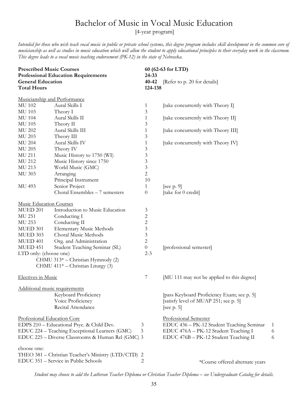### Bachelor of Music in Vocal Music Education

[4-year program]

*Intended for those who wish teach vocal music in public or private school systems, this degree program includes skill development in the common core of musicianship as well as studies in music education which will allow the student to apply educational principles to their everyday work in the classroom. This degree leads to a vocal music teaching endorsement (PK-12) in the state of Nebraska.* 

| <b>Prescribed Music Courses</b>            |                                                     | 60 (62-63 for LTD) |                                                |  |
|--------------------------------------------|-----------------------------------------------------|--------------------|------------------------------------------------|--|
| <b>Professional Education Requirements</b> |                                                     | 24-33              |                                                |  |
| <b>General Education</b>                   |                                                     | 40-42              | [Refer to p. 20 for details]                   |  |
| <b>Total Hours</b>                         |                                                     | 124-138            |                                                |  |
| Musicianship and Performance               |                                                     |                    |                                                |  |
| <b>MU 102</b>                              | Aural Skills I                                      | $\mathbf{1}$       | [take concurrently with Theory I]              |  |
| <b>MU 103</b>                              | Theory I                                            | $\mathfrak{Z}$     |                                                |  |
| <b>MU 104</b>                              | Aural Skills II                                     | $\mathbf{1}$       | [take concurrently with Theory II]             |  |
| <b>MU 105</b>                              | Theory II                                           | $\mathfrak{Z}$     |                                                |  |
| <b>MU 202</b>                              | Aural Skills III                                    | $\mathbf{1}$       | [take concurrently with Theory III]            |  |
| <b>MU 203</b>                              | Theory III                                          | $\mathfrak{Z}$     |                                                |  |
| <b>MU 204</b>                              | Aural Skills IV                                     | $\mathbf{1}$       | [take concurrently with Theory IV]             |  |
| <b>MU 205</b>                              | Theory IV                                           | 3                  |                                                |  |
| <b>MU 211</b>                              | Music History to 1750 (WI)                          | 3                  |                                                |  |
| <b>MU 212</b>                              | Music History since 1750                            | 3                  |                                                |  |
| MU 213                                     | World Music (GMC)                                   | $\mathfrak{Z}$     |                                                |  |
| <b>MU 303</b>                              | Arranging                                           | $\overline{c}$     |                                                |  |
|                                            | Principal Instrument                                | 10                 |                                                |  |
| MU 493                                     | Senior Project                                      | 1                  | [see $p. 9$ ]                                  |  |
|                                            | Choral Ensembles - 7 semesters                      | $\theta$           | [take for 0 credit]                            |  |
|                                            |                                                     |                    |                                                |  |
| <b>Music Education Courses</b>             |                                                     |                    |                                                |  |
| MUED 201                                   | Introduction to Music Education                     | 3                  |                                                |  |
| <b>MU 251</b>                              | Conducting I                                        | $\overline{c}$     |                                                |  |
| <b>MU 253</b>                              | Conducting II                                       | $\overline{c}$     |                                                |  |
| MUED 301                                   | <b>Elementary Music Methods</b>                     | $\mathfrak{Z}$     |                                                |  |
| MUED 303                                   | Choral Music Methods                                | $\mathfrak{Z}$     |                                                |  |
| MUED 401                                   | Org. and Administration                             | 2                  |                                                |  |
| MUED 451                                   | Student Teaching Seminar (SL)                       | $\boldsymbol{0}$   | [professional semester]                        |  |
| LTD only: (choose one)                     |                                                     | $2 - 3$            |                                                |  |
|                                            | CHMU 313* - Christian Hymnody (2)                   |                    |                                                |  |
|                                            | CHMU 411 <sup>*</sup> - Christian Liturgy (3)       |                    |                                                |  |
|                                            |                                                     |                    |                                                |  |
| Electives in Music                         |                                                     | $\overline{7}$     | [MU 111 may not be applied to this degree]     |  |
| Additional music requirements              |                                                     |                    |                                                |  |
|                                            | Keyboard Proficiency                                |                    | [pass Keyboard Proficiency Exam; see p. 5]     |  |
|                                            | Voice Proficiency                                   |                    | [satisfy level of MUAP 251; see p. 5]          |  |
|                                            | Recital Attendance                                  |                    | [see $p. 5$ ]                                  |  |
|                                            |                                                     |                    |                                                |  |
| Professional Education Core                |                                                     |                    | <b>Professional Semester</b>                   |  |
|                                            | EDPS 210 - Educational Psyc. & Child Dev.           | 3                  | EDUC 436 - PK-12 Student Teaching Seminar<br>1 |  |
|                                            | EDUC 224 - Teaching Exceptional Learners (GMC)      | 3                  | EDUC 476A - PK-12 Student Teaching I<br>6      |  |
|                                            | EDUC 225 - Diverse Classrooms & Human Rel (GMC) 3   |                    | EDUC 476B - PK-12 Student Teaching II<br>6     |  |
| choose one:                                |                                                     |                    |                                                |  |
|                                            | THEO 381 - Christian Teacher's Ministry (LTD/CTD) 2 |                    |                                                |  |
|                                            | EDUC 351 - Service in Public Schools                | 2                  | *Course offered alternate years                |  |

*Student may choose to add the Lutheran Teacher Diploma or Christian Teacher Diploma – see Undergraduate Catalog for details.*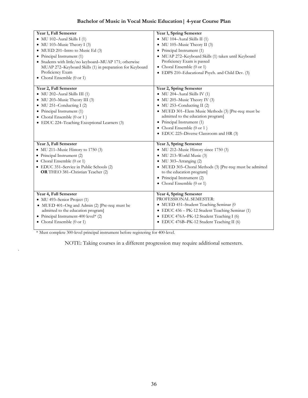#### **Bachelor of Music in Vocal Music Education| 4-year Course Plan**

| Year 1, Fall Semester<br>• MU 102-Aural Skills I (1)<br>• MU 103-Music Theory I $(3)$<br>• MUED 201-Intro to Music Ed (3)<br>• Principal Instrument (1)<br>• Students with little/no keyboard-MUAP 171; otherwise<br>MUAP 272-Keyboard Skills (1) in preparation for Keyboard<br>Proficiency Exam<br>$\bullet$ Choral Ensemble (0 or 1) | Year 1, Spring Semester<br>• MU 104-Aural Skills II (1)<br>• MU 105-Music Theory II (3)<br>· Principal Instrument (1)<br>· MUAP 272-Keyboard Skills (1) taken until Keyboard<br>Proficiency Exam is passed<br>• Choral Ensemble (0 or 1)<br>• EDPS 210-Educational Psych. and Child Dev. (3)                                         |
|-----------------------------------------------------------------------------------------------------------------------------------------------------------------------------------------------------------------------------------------------------------------------------------------------------------------------------------------|--------------------------------------------------------------------------------------------------------------------------------------------------------------------------------------------------------------------------------------------------------------------------------------------------------------------------------------|
| Year 2, Fall Semester<br>• MU 202-Aural Skills III (1)<br>• MU 203-Music Theory III (3)<br>$\bullet$ MU 251-Conducting I (2)<br>• Principal Instrument (1)<br>• Choral Ensemble $(0 \text{ or } 1)$<br>• EDUC 224-Teaching Exceptional Learners (3)                                                                                     | Year 2, Spring Semester<br>• MU 204-Aural Skills IV (1)<br>• MU 205-Music Theory IV (3)<br>• MU 253-Conducting II (2)<br>· MUED 301-Elem Music Methods (3) [Pre-req: must be<br>admitted to the education program]<br>• Principal Instrument (1)<br>• Choral Ensemble $(0 \text{ or } 1)$<br>• EDUC 225-Diverse Classroom and HR (3) |
| Year 3, Fall Semester<br>• MU 211-Music History to 1750 (3)<br>· Principal Instrument (2)<br>$\bullet$ Choral Ensemble (0 or 1)<br>• EDUC 351-Service in Public Schools (2)<br>OR THEO 381-Christian Teacher (2)                                                                                                                        | Year 3, Spring Semester<br>• MU 212-Music History since 1750 (3)<br>• MU 213-World Music (3)<br>$\bullet$ MU 303-Arranging (2)<br>· MUED 303-Choral Methods (3) [Pre-req: must be admitted<br>to the education program]<br>· Principal Instrument (2)<br>• Choral Ensemble $(0 \text{ or } 1)$                                       |
| Year 4, Fall Semester<br>• MU 493-Senior Project (1)<br>• MUED 401-Org and Admin (2) [Pre-req: must be<br>admitted to the education program]<br>· Principal Instrument-400 level* (2)<br>• Choral Ensemble (0 or 1)                                                                                                                     | Year 4, Spring Semester<br>PROFESSIONAL SEMESTER:<br>· MUED 451-Student Teaching Seminar (0<br>• EDUC 436 - PK-12 Student Teaching Seminar (1)<br>• EDUC 476A-PK-12 Student Teaching I (6)<br>• EDUC 476B-PK-12 Student Teaching II (6)                                                                                              |

\* Must complete 300-level principal instrument before registering for 400-level.

.

NOTE: Taking courses in a different progression may require additional semesters.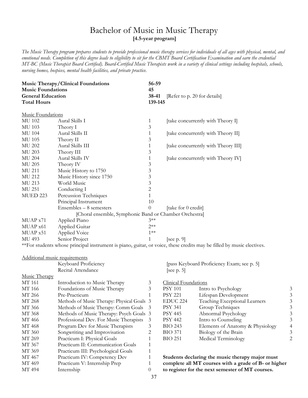#### Bachelor of Music in Music Therapy  **[4.5-year program]**

*The Music Therapy program prepares students to provide professional music therapy services for individuals of all ages with physical, mental, and emotional needs. Completion of this degree leads to eligibility to sit for the CBMT Board Certification Examination and earn the credential MT-BC (Music Therapist Board Certified). Board-Certified Music Therapists work in a variety of clinical settings including hospitals, schools, nursing homes, hospices, mental health facilities, and private practice.* 

| <b>Music Foundations</b><br><b>MU 102</b><br>Aural Skills I<br>$\mathbf{1}$<br>[take concurrently with Theory I]<br>$\mathfrak{Z}$<br><b>MU 103</b><br>Theory I<br><b>MU 104</b><br>Aural Skills II<br>$\mathbf{1}$<br>[take concurrently with Theory II]<br>$\mathfrak{Z}$<br>Theory II<br><b>MU 105</b><br><b>MU 202</b><br>Aural Skills III<br>$\mathbf{1}$<br>[take concurrently with Theory III]<br>$\mathfrak{Z}$<br><b>MU 203</b><br>Theory III<br>$\mathbf{1}$<br><b>MU 204</b><br>Aural Skills IV<br>[take concurrently with Theory IV]<br>Theory IV<br>$\mathfrak{Z}$<br><b>MU 205</b><br>$\mathfrak{Z}$<br><b>MU 211</b><br>Music History to 1750<br>$\mathfrak{Z}$<br><b>MU 212</b><br>Music History since 1750<br>$\mathfrak{Z}$<br>World Music<br>MU 213<br>$\overline{c}$<br>Conducting I<br><b>MU 251</b><br>MUED 223<br>Percussion Techniques<br>$\mathbf{1}$<br>Principal Instrument<br>10<br>$Ensembles - 8 semesters$<br>$\theta$<br>[take for 0 credit]<br>[Choral ensemble, Symphonic Band or Chamber Orchestra]<br>$3**$<br>MUAP x71<br>Applied Piano<br>$2**$<br>MUAP x61<br>Applied Guitar<br>Applied Voice<br>$1**$<br>MUAP x51<br>Senior Project<br>MU 493<br>[see $p.9$ ]<br>** For students whose principal instrument is piano, guitar, or voice, these credits may be filled by music electives.<br>Additional music requirements<br>Keyboard Proficiency<br>[pass Keyboard Proficiency Exam; see p. 5]<br>Recital Attendance<br>[see $p. 5$ ]<br>Music Therapy<br><b>MT</b> 161<br><b>Clinical Foundations</b><br>Introduction to Music Therapy<br>3<br>$\mathfrak{Z}$<br><b>MT</b> 166<br>Foundations of Music Therapy<br><b>PSY 101</b><br>Intro to Psychology<br>$\mathfrak{Z}$<br>MT 266<br>Pre-Practicum<br>1<br><b>PSY 221</b><br>Lifespan Development<br>$\mathfrak{Z}$<br>Methods of Music Therapy: Physical Goals 3<br><b>MT 268</b><br>EDUC <sub>224</sub><br>Teaching Exceptional Learners<br>3<br>Methods of Music Therapy: Comm Goals<br>3<br><b>PSY 341</b><br>Group Techniques<br>3<br>MT 366<br>MT 368<br>Methods of Music Therapy: Psych Goals 3<br>3<br><b>PSY 445</b><br>Abnormal Psychology<br>Professional Dev. For Music Therapists<br>3<br>MT 466<br>3<br><b>PSY 442</b><br>Intro to Counseling<br>MT 468<br>Program Dev for Music Therapists<br>3<br><b>BIO 243</b><br>Elements of Anatomy & Physiology<br>$\overline{4}$<br>MT 360<br>$\overline{c}$<br>3<br>Songwriting and Improvisation<br><b>BIO 371</b><br>Biology of the Brain<br>MT 269<br>Practicum I: Physical Goals<br>Medical Terminology<br>2<br>1<br><b>BIO 251</b><br>Practicum II: Communication Goals<br>MT 367<br>1<br>MT 369<br>Practicum III: Psychological Goals<br>1<br>MT 467<br>Practicum IV: Competency Dev<br>1<br>Students declaring the music therapy major must<br>complete all MT courses with a grade of B- or higher<br>MT 469<br>Practicum V: Internship Prep<br>1<br>MT 494<br>to register for the next semester of MT courses.<br>Internship<br>$\theta$ | <b>Music Foundations</b><br><b>General Education</b><br><b>Total Hours</b> | <b>Music Therapy/Clinical Foundations</b> | 56-59<br>45<br>38-41<br>139-145 | [Refer to p. 20 for details] |  |
|-----------------------------------------------------------------------------------------------------------------------------------------------------------------------------------------------------------------------------------------------------------------------------------------------------------------------------------------------------------------------------------------------------------------------------------------------------------------------------------------------------------------------------------------------------------------------------------------------------------------------------------------------------------------------------------------------------------------------------------------------------------------------------------------------------------------------------------------------------------------------------------------------------------------------------------------------------------------------------------------------------------------------------------------------------------------------------------------------------------------------------------------------------------------------------------------------------------------------------------------------------------------------------------------------------------------------------------------------------------------------------------------------------------------------------------------------------------------------------------------------------------------------------------------------------------------------------------------------------------------------------------------------------------------------------------------------------------------------------------------------------------------------------------------------------------------------------------------------------------------------------------------------------------------------------------------------------------------------------------------------------------------------------------------------------------------------------------------------------------------------------------------------------------------------------------------------------------------------------------------------------------------------------------------------------------------------------------------------------------------------------------------------------------------------------------------------------------------------------------------------------------------------------------------------------------------------------------------------------------------------------------------------------------------------------------------------------------------------------------------------------------------------------------------------------------------------------------------------------------------------------------------------------------------------------------------------------------------------------------------------------|----------------------------------------------------------------------------|-------------------------------------------|---------------------------------|------------------------------|--|
|                                                                                                                                                                                                                                                                                                                                                                                                                                                                                                                                                                                                                                                                                                                                                                                                                                                                                                                                                                                                                                                                                                                                                                                                                                                                                                                                                                                                                                                                                                                                                                                                                                                                                                                                                                                                                                                                                                                                                                                                                                                                                                                                                                                                                                                                                                                                                                                                                                                                                                                                                                                                                                                                                                                                                                                                                                                                                                                                                                                                     |                                                                            |                                           |                                 |                              |  |
|                                                                                                                                                                                                                                                                                                                                                                                                                                                                                                                                                                                                                                                                                                                                                                                                                                                                                                                                                                                                                                                                                                                                                                                                                                                                                                                                                                                                                                                                                                                                                                                                                                                                                                                                                                                                                                                                                                                                                                                                                                                                                                                                                                                                                                                                                                                                                                                                                                                                                                                                                                                                                                                                                                                                                                                                                                                                                                                                                                                                     |                                                                            |                                           |                                 |                              |  |
|                                                                                                                                                                                                                                                                                                                                                                                                                                                                                                                                                                                                                                                                                                                                                                                                                                                                                                                                                                                                                                                                                                                                                                                                                                                                                                                                                                                                                                                                                                                                                                                                                                                                                                                                                                                                                                                                                                                                                                                                                                                                                                                                                                                                                                                                                                                                                                                                                                                                                                                                                                                                                                                                                                                                                                                                                                                                                                                                                                                                     |                                                                            |                                           |                                 |                              |  |
|                                                                                                                                                                                                                                                                                                                                                                                                                                                                                                                                                                                                                                                                                                                                                                                                                                                                                                                                                                                                                                                                                                                                                                                                                                                                                                                                                                                                                                                                                                                                                                                                                                                                                                                                                                                                                                                                                                                                                                                                                                                                                                                                                                                                                                                                                                                                                                                                                                                                                                                                                                                                                                                                                                                                                                                                                                                                                                                                                                                                     |                                                                            |                                           |                                 |                              |  |
|                                                                                                                                                                                                                                                                                                                                                                                                                                                                                                                                                                                                                                                                                                                                                                                                                                                                                                                                                                                                                                                                                                                                                                                                                                                                                                                                                                                                                                                                                                                                                                                                                                                                                                                                                                                                                                                                                                                                                                                                                                                                                                                                                                                                                                                                                                                                                                                                                                                                                                                                                                                                                                                                                                                                                                                                                                                                                                                                                                                                     |                                                                            |                                           |                                 |                              |  |
|                                                                                                                                                                                                                                                                                                                                                                                                                                                                                                                                                                                                                                                                                                                                                                                                                                                                                                                                                                                                                                                                                                                                                                                                                                                                                                                                                                                                                                                                                                                                                                                                                                                                                                                                                                                                                                                                                                                                                                                                                                                                                                                                                                                                                                                                                                                                                                                                                                                                                                                                                                                                                                                                                                                                                                                                                                                                                                                                                                                                     |                                                                            |                                           |                                 |                              |  |
|                                                                                                                                                                                                                                                                                                                                                                                                                                                                                                                                                                                                                                                                                                                                                                                                                                                                                                                                                                                                                                                                                                                                                                                                                                                                                                                                                                                                                                                                                                                                                                                                                                                                                                                                                                                                                                                                                                                                                                                                                                                                                                                                                                                                                                                                                                                                                                                                                                                                                                                                                                                                                                                                                                                                                                                                                                                                                                                                                                                                     |                                                                            |                                           |                                 |                              |  |
|                                                                                                                                                                                                                                                                                                                                                                                                                                                                                                                                                                                                                                                                                                                                                                                                                                                                                                                                                                                                                                                                                                                                                                                                                                                                                                                                                                                                                                                                                                                                                                                                                                                                                                                                                                                                                                                                                                                                                                                                                                                                                                                                                                                                                                                                                                                                                                                                                                                                                                                                                                                                                                                                                                                                                                                                                                                                                                                                                                                                     |                                                                            |                                           |                                 |                              |  |
|                                                                                                                                                                                                                                                                                                                                                                                                                                                                                                                                                                                                                                                                                                                                                                                                                                                                                                                                                                                                                                                                                                                                                                                                                                                                                                                                                                                                                                                                                                                                                                                                                                                                                                                                                                                                                                                                                                                                                                                                                                                                                                                                                                                                                                                                                                                                                                                                                                                                                                                                                                                                                                                                                                                                                                                                                                                                                                                                                                                                     |                                                                            |                                           |                                 |                              |  |
|                                                                                                                                                                                                                                                                                                                                                                                                                                                                                                                                                                                                                                                                                                                                                                                                                                                                                                                                                                                                                                                                                                                                                                                                                                                                                                                                                                                                                                                                                                                                                                                                                                                                                                                                                                                                                                                                                                                                                                                                                                                                                                                                                                                                                                                                                                                                                                                                                                                                                                                                                                                                                                                                                                                                                                                                                                                                                                                                                                                                     |                                                                            |                                           |                                 |                              |  |
|                                                                                                                                                                                                                                                                                                                                                                                                                                                                                                                                                                                                                                                                                                                                                                                                                                                                                                                                                                                                                                                                                                                                                                                                                                                                                                                                                                                                                                                                                                                                                                                                                                                                                                                                                                                                                                                                                                                                                                                                                                                                                                                                                                                                                                                                                                                                                                                                                                                                                                                                                                                                                                                                                                                                                                                                                                                                                                                                                                                                     |                                                                            |                                           |                                 |                              |  |
|                                                                                                                                                                                                                                                                                                                                                                                                                                                                                                                                                                                                                                                                                                                                                                                                                                                                                                                                                                                                                                                                                                                                                                                                                                                                                                                                                                                                                                                                                                                                                                                                                                                                                                                                                                                                                                                                                                                                                                                                                                                                                                                                                                                                                                                                                                                                                                                                                                                                                                                                                                                                                                                                                                                                                                                                                                                                                                                                                                                                     |                                                                            |                                           |                                 |                              |  |
|                                                                                                                                                                                                                                                                                                                                                                                                                                                                                                                                                                                                                                                                                                                                                                                                                                                                                                                                                                                                                                                                                                                                                                                                                                                                                                                                                                                                                                                                                                                                                                                                                                                                                                                                                                                                                                                                                                                                                                                                                                                                                                                                                                                                                                                                                                                                                                                                                                                                                                                                                                                                                                                                                                                                                                                                                                                                                                                                                                                                     |                                                                            |                                           |                                 |                              |  |
|                                                                                                                                                                                                                                                                                                                                                                                                                                                                                                                                                                                                                                                                                                                                                                                                                                                                                                                                                                                                                                                                                                                                                                                                                                                                                                                                                                                                                                                                                                                                                                                                                                                                                                                                                                                                                                                                                                                                                                                                                                                                                                                                                                                                                                                                                                                                                                                                                                                                                                                                                                                                                                                                                                                                                                                                                                                                                                                                                                                                     |                                                                            |                                           |                                 |                              |  |
|                                                                                                                                                                                                                                                                                                                                                                                                                                                                                                                                                                                                                                                                                                                                                                                                                                                                                                                                                                                                                                                                                                                                                                                                                                                                                                                                                                                                                                                                                                                                                                                                                                                                                                                                                                                                                                                                                                                                                                                                                                                                                                                                                                                                                                                                                                                                                                                                                                                                                                                                                                                                                                                                                                                                                                                                                                                                                                                                                                                                     |                                                                            |                                           |                                 |                              |  |
|                                                                                                                                                                                                                                                                                                                                                                                                                                                                                                                                                                                                                                                                                                                                                                                                                                                                                                                                                                                                                                                                                                                                                                                                                                                                                                                                                                                                                                                                                                                                                                                                                                                                                                                                                                                                                                                                                                                                                                                                                                                                                                                                                                                                                                                                                                                                                                                                                                                                                                                                                                                                                                                                                                                                                                                                                                                                                                                                                                                                     |                                                                            |                                           |                                 |                              |  |
|                                                                                                                                                                                                                                                                                                                                                                                                                                                                                                                                                                                                                                                                                                                                                                                                                                                                                                                                                                                                                                                                                                                                                                                                                                                                                                                                                                                                                                                                                                                                                                                                                                                                                                                                                                                                                                                                                                                                                                                                                                                                                                                                                                                                                                                                                                                                                                                                                                                                                                                                                                                                                                                                                                                                                                                                                                                                                                                                                                                                     |                                                                            |                                           |                                 |                              |  |
|                                                                                                                                                                                                                                                                                                                                                                                                                                                                                                                                                                                                                                                                                                                                                                                                                                                                                                                                                                                                                                                                                                                                                                                                                                                                                                                                                                                                                                                                                                                                                                                                                                                                                                                                                                                                                                                                                                                                                                                                                                                                                                                                                                                                                                                                                                                                                                                                                                                                                                                                                                                                                                                                                                                                                                                                                                                                                                                                                                                                     |                                                                            |                                           |                                 |                              |  |
|                                                                                                                                                                                                                                                                                                                                                                                                                                                                                                                                                                                                                                                                                                                                                                                                                                                                                                                                                                                                                                                                                                                                                                                                                                                                                                                                                                                                                                                                                                                                                                                                                                                                                                                                                                                                                                                                                                                                                                                                                                                                                                                                                                                                                                                                                                                                                                                                                                                                                                                                                                                                                                                                                                                                                                                                                                                                                                                                                                                                     |                                                                            |                                           |                                 |                              |  |
|                                                                                                                                                                                                                                                                                                                                                                                                                                                                                                                                                                                                                                                                                                                                                                                                                                                                                                                                                                                                                                                                                                                                                                                                                                                                                                                                                                                                                                                                                                                                                                                                                                                                                                                                                                                                                                                                                                                                                                                                                                                                                                                                                                                                                                                                                                                                                                                                                                                                                                                                                                                                                                                                                                                                                                                                                                                                                                                                                                                                     |                                                                            |                                           |                                 |                              |  |
|                                                                                                                                                                                                                                                                                                                                                                                                                                                                                                                                                                                                                                                                                                                                                                                                                                                                                                                                                                                                                                                                                                                                                                                                                                                                                                                                                                                                                                                                                                                                                                                                                                                                                                                                                                                                                                                                                                                                                                                                                                                                                                                                                                                                                                                                                                                                                                                                                                                                                                                                                                                                                                                                                                                                                                                                                                                                                                                                                                                                     |                                                                            |                                           |                                 |                              |  |
|                                                                                                                                                                                                                                                                                                                                                                                                                                                                                                                                                                                                                                                                                                                                                                                                                                                                                                                                                                                                                                                                                                                                                                                                                                                                                                                                                                                                                                                                                                                                                                                                                                                                                                                                                                                                                                                                                                                                                                                                                                                                                                                                                                                                                                                                                                                                                                                                                                                                                                                                                                                                                                                                                                                                                                                                                                                                                                                                                                                                     |                                                                            |                                           |                                 |                              |  |
|                                                                                                                                                                                                                                                                                                                                                                                                                                                                                                                                                                                                                                                                                                                                                                                                                                                                                                                                                                                                                                                                                                                                                                                                                                                                                                                                                                                                                                                                                                                                                                                                                                                                                                                                                                                                                                                                                                                                                                                                                                                                                                                                                                                                                                                                                                                                                                                                                                                                                                                                                                                                                                                                                                                                                                                                                                                                                                                                                                                                     |                                                                            |                                           |                                 |                              |  |
|                                                                                                                                                                                                                                                                                                                                                                                                                                                                                                                                                                                                                                                                                                                                                                                                                                                                                                                                                                                                                                                                                                                                                                                                                                                                                                                                                                                                                                                                                                                                                                                                                                                                                                                                                                                                                                                                                                                                                                                                                                                                                                                                                                                                                                                                                                                                                                                                                                                                                                                                                                                                                                                                                                                                                                                                                                                                                                                                                                                                     |                                                                            |                                           |                                 |                              |  |
|                                                                                                                                                                                                                                                                                                                                                                                                                                                                                                                                                                                                                                                                                                                                                                                                                                                                                                                                                                                                                                                                                                                                                                                                                                                                                                                                                                                                                                                                                                                                                                                                                                                                                                                                                                                                                                                                                                                                                                                                                                                                                                                                                                                                                                                                                                                                                                                                                                                                                                                                                                                                                                                                                                                                                                                                                                                                                                                                                                                                     |                                                                            |                                           |                                 |                              |  |
|                                                                                                                                                                                                                                                                                                                                                                                                                                                                                                                                                                                                                                                                                                                                                                                                                                                                                                                                                                                                                                                                                                                                                                                                                                                                                                                                                                                                                                                                                                                                                                                                                                                                                                                                                                                                                                                                                                                                                                                                                                                                                                                                                                                                                                                                                                                                                                                                                                                                                                                                                                                                                                                                                                                                                                                                                                                                                                                                                                                                     |                                                                            |                                           |                                 |                              |  |
|                                                                                                                                                                                                                                                                                                                                                                                                                                                                                                                                                                                                                                                                                                                                                                                                                                                                                                                                                                                                                                                                                                                                                                                                                                                                                                                                                                                                                                                                                                                                                                                                                                                                                                                                                                                                                                                                                                                                                                                                                                                                                                                                                                                                                                                                                                                                                                                                                                                                                                                                                                                                                                                                                                                                                                                                                                                                                                                                                                                                     |                                                                            |                                           |                                 |                              |  |
|                                                                                                                                                                                                                                                                                                                                                                                                                                                                                                                                                                                                                                                                                                                                                                                                                                                                                                                                                                                                                                                                                                                                                                                                                                                                                                                                                                                                                                                                                                                                                                                                                                                                                                                                                                                                                                                                                                                                                                                                                                                                                                                                                                                                                                                                                                                                                                                                                                                                                                                                                                                                                                                                                                                                                                                                                                                                                                                                                                                                     |                                                                            |                                           |                                 |                              |  |
|                                                                                                                                                                                                                                                                                                                                                                                                                                                                                                                                                                                                                                                                                                                                                                                                                                                                                                                                                                                                                                                                                                                                                                                                                                                                                                                                                                                                                                                                                                                                                                                                                                                                                                                                                                                                                                                                                                                                                                                                                                                                                                                                                                                                                                                                                                                                                                                                                                                                                                                                                                                                                                                                                                                                                                                                                                                                                                                                                                                                     |                                                                            |                                           |                                 |                              |  |
|                                                                                                                                                                                                                                                                                                                                                                                                                                                                                                                                                                                                                                                                                                                                                                                                                                                                                                                                                                                                                                                                                                                                                                                                                                                                                                                                                                                                                                                                                                                                                                                                                                                                                                                                                                                                                                                                                                                                                                                                                                                                                                                                                                                                                                                                                                                                                                                                                                                                                                                                                                                                                                                                                                                                                                                                                                                                                                                                                                                                     |                                                                            |                                           |                                 |                              |  |
|                                                                                                                                                                                                                                                                                                                                                                                                                                                                                                                                                                                                                                                                                                                                                                                                                                                                                                                                                                                                                                                                                                                                                                                                                                                                                                                                                                                                                                                                                                                                                                                                                                                                                                                                                                                                                                                                                                                                                                                                                                                                                                                                                                                                                                                                                                                                                                                                                                                                                                                                                                                                                                                                                                                                                                                                                                                                                                                                                                                                     |                                                                            |                                           |                                 |                              |  |
|                                                                                                                                                                                                                                                                                                                                                                                                                                                                                                                                                                                                                                                                                                                                                                                                                                                                                                                                                                                                                                                                                                                                                                                                                                                                                                                                                                                                                                                                                                                                                                                                                                                                                                                                                                                                                                                                                                                                                                                                                                                                                                                                                                                                                                                                                                                                                                                                                                                                                                                                                                                                                                                                                                                                                                                                                                                                                                                                                                                                     |                                                                            |                                           |                                 |                              |  |
|                                                                                                                                                                                                                                                                                                                                                                                                                                                                                                                                                                                                                                                                                                                                                                                                                                                                                                                                                                                                                                                                                                                                                                                                                                                                                                                                                                                                                                                                                                                                                                                                                                                                                                                                                                                                                                                                                                                                                                                                                                                                                                                                                                                                                                                                                                                                                                                                                                                                                                                                                                                                                                                                                                                                                                                                                                                                                                                                                                                                     |                                                                            |                                           |                                 |                              |  |
|                                                                                                                                                                                                                                                                                                                                                                                                                                                                                                                                                                                                                                                                                                                                                                                                                                                                                                                                                                                                                                                                                                                                                                                                                                                                                                                                                                                                                                                                                                                                                                                                                                                                                                                                                                                                                                                                                                                                                                                                                                                                                                                                                                                                                                                                                                                                                                                                                                                                                                                                                                                                                                                                                                                                                                                                                                                                                                                                                                                                     |                                                                            |                                           |                                 |                              |  |
|                                                                                                                                                                                                                                                                                                                                                                                                                                                                                                                                                                                                                                                                                                                                                                                                                                                                                                                                                                                                                                                                                                                                                                                                                                                                                                                                                                                                                                                                                                                                                                                                                                                                                                                                                                                                                                                                                                                                                                                                                                                                                                                                                                                                                                                                                                                                                                                                                                                                                                                                                                                                                                                                                                                                                                                                                                                                                                                                                                                                     |                                                                            |                                           |                                 |                              |  |
|                                                                                                                                                                                                                                                                                                                                                                                                                                                                                                                                                                                                                                                                                                                                                                                                                                                                                                                                                                                                                                                                                                                                                                                                                                                                                                                                                                                                                                                                                                                                                                                                                                                                                                                                                                                                                                                                                                                                                                                                                                                                                                                                                                                                                                                                                                                                                                                                                                                                                                                                                                                                                                                                                                                                                                                                                                                                                                                                                                                                     |                                                                            |                                           |                                 |                              |  |
|                                                                                                                                                                                                                                                                                                                                                                                                                                                                                                                                                                                                                                                                                                                                                                                                                                                                                                                                                                                                                                                                                                                                                                                                                                                                                                                                                                                                                                                                                                                                                                                                                                                                                                                                                                                                                                                                                                                                                                                                                                                                                                                                                                                                                                                                                                                                                                                                                                                                                                                                                                                                                                                                                                                                                                                                                                                                                                                                                                                                     |                                                                            |                                           |                                 |                              |  |
|                                                                                                                                                                                                                                                                                                                                                                                                                                                                                                                                                                                                                                                                                                                                                                                                                                                                                                                                                                                                                                                                                                                                                                                                                                                                                                                                                                                                                                                                                                                                                                                                                                                                                                                                                                                                                                                                                                                                                                                                                                                                                                                                                                                                                                                                                                                                                                                                                                                                                                                                                                                                                                                                                                                                                                                                                                                                                                                                                                                                     |                                                                            |                                           |                                 |                              |  |
|                                                                                                                                                                                                                                                                                                                                                                                                                                                                                                                                                                                                                                                                                                                                                                                                                                                                                                                                                                                                                                                                                                                                                                                                                                                                                                                                                                                                                                                                                                                                                                                                                                                                                                                                                                                                                                                                                                                                                                                                                                                                                                                                                                                                                                                                                                                                                                                                                                                                                                                                                                                                                                                                                                                                                                                                                                                                                                                                                                                                     |                                                                            |                                           |                                 |                              |  |
|                                                                                                                                                                                                                                                                                                                                                                                                                                                                                                                                                                                                                                                                                                                                                                                                                                                                                                                                                                                                                                                                                                                                                                                                                                                                                                                                                                                                                                                                                                                                                                                                                                                                                                                                                                                                                                                                                                                                                                                                                                                                                                                                                                                                                                                                                                                                                                                                                                                                                                                                                                                                                                                                                                                                                                                                                                                                                                                                                                                                     |                                                                            |                                           |                                 |                              |  |
|                                                                                                                                                                                                                                                                                                                                                                                                                                                                                                                                                                                                                                                                                                                                                                                                                                                                                                                                                                                                                                                                                                                                                                                                                                                                                                                                                                                                                                                                                                                                                                                                                                                                                                                                                                                                                                                                                                                                                                                                                                                                                                                                                                                                                                                                                                                                                                                                                                                                                                                                                                                                                                                                                                                                                                                                                                                                                                                                                                                                     |                                                                            |                                           |                                 |                              |  |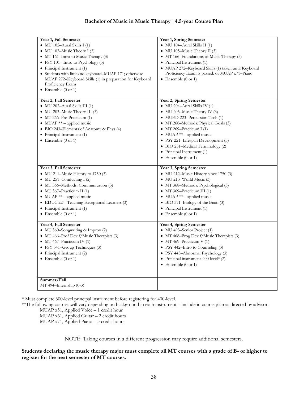| Year 1, Fall Semester                                    | Year 1, Spring Semester                             |
|----------------------------------------------------------|-----------------------------------------------------|
| $\bullet$ MU 102-Aural Skills I (1)                      | $\bullet$ MU 104-Aural Skills II (1)                |
| • MU 103-Music Theory I $(3)$                            | • MU 105-Music Theory II $(3)$                      |
| • MT 161–Intro to Music Therapy (3)                      | • MT 166-Foundations of Music Therapy (3)           |
| • PSY 101– Intro to Psychology $(3)$                     | • Principal Instrument $(1)$                        |
| • Principal Instrument (1)                               | · MUAP 272-Keyboard Skills (1) taken until Keyboard |
| • Students with little/no keyboard-MUAP 171; otherwise   | Proficiency Exam is passed; or MUAP x71-Piano       |
| MUAP 272-Keyboard Skills (1) in preparation for Keyboard | • Ensemble $(0 \text{ or } 1)$                      |
| Proficiency Exam                                         |                                                     |
| • Ensemble $(0 \text{ or } 1)$                           |                                                     |
|                                                          |                                                     |
| Year 2, Fall Semester                                    | Year 2, Spring Semester                             |
| $\bullet$ MU 202-Aural Skills III (1)                    | • MU 204-Aural Skills IV (1)                        |
| • MU 203–Music Theory III $(3)$                          | • MU 205–Music Theory IV $(3)$                      |
| • MT 266-Pre-Practicum (1)                               | • MUED 223-Percussion Tech (1)                      |
| $\bullet$ MUAP ** – applied music                        | • MT 268–Methods: Physical Goals (3)                |
| • BIO 243–Elements of Anatomy & Phys (4)                 | • MT 269-Practicum I $(1)$                          |
| • Principal Instrument (1)                               | • MUAP $**$ – applied music                         |
| $\bullet$ Ensemble (0 or 1)                              | • PSY 221-Lifespan Development (3)                  |
|                                                          | • BIO 251-Medical Terminology (2)                   |
|                                                          | • Principal Instrument (1)                          |
|                                                          | • Ensemble $(0 \text{ or } 1)$                      |
|                                                          |                                                     |
| Year 3, Fall Semester                                    | Year 3, Spring Semester                             |
| • MU 211-Music History to 1750 (3)                       | • MU 212-Music History since 1750 (3)               |
| • MU 251-Conducting I $(2)$                              | • MU 213-World Music $(3)$                          |
| • MT 366–Methods: Communication (3)                      | · MT 368-Methods: Psychological (3)                 |
| • MT 367–Practicum II $(1)$                              | • MT 369-Practicum III (1)                          |
| $\bullet$ MUAP ** – applied music                        | $\bullet$ MUAP ** – applied music                   |
| EDUC 224-Teaching Exceptional Learners (3)               | • BIO 371-Biology of the Brain (3)                  |
| Principal Instrument (1)                                 | • Principal Instrument (1)                          |
| • Ensemble $(0 \text{ or } 1)$                           | • Ensemble $(0 \text{ or } 1)$                      |
|                                                          |                                                     |
| Year 4, Fall Semester                                    | Year 4, Spring Semester                             |
| • MT 360-Songwriting & Improv (2)                        | • MU 493–Senior Project (1)                         |
| • MT 466–Prof Dev $f/Music$ Therapists (3)               | • MT 468–Prog Dev $f/Music$ Therapists (3)          |
| • MT 467-Practicum IV (1)                                | • MT 469-Practicum V (1)                            |
| • PSY 341–Group Techniques (3)                           | • PSY 442-Intro to Counseling (3)                   |
|                                                          |                                                     |
|                                                          |                                                     |
| • Principal Instrument (2)                               | · PSY 445-Abnormal Psychology (3)                   |
| • Ensemble $(0 \text{ or } 1)$                           | • Principal instrument-400 level* $(2)$             |
|                                                          | • Ensemble $(0 \text{ or } 1)$                      |
|                                                          |                                                     |
| Summer/Fall                                              |                                                     |
| $MT$ 494–Internship (0-3)                                |                                                     |

\* Must complete 300-level principal instrument before registering for 400-level.

\*\*The following courses will vary depending on background in each instrument – include in course plan as directed by advisor. MUAP x51, Applied Voice – 1 credit hour

MUAP x61, Applied Guitar – 2 credit hours MUAP x71, Applied Piano – 3 credit hours

NOTE: Taking courses in a different progression may require additional semesters.

**Students declaring the music therapy major must complete all MT courses with a grade of B- or higher to register for the next semester of MT courses.**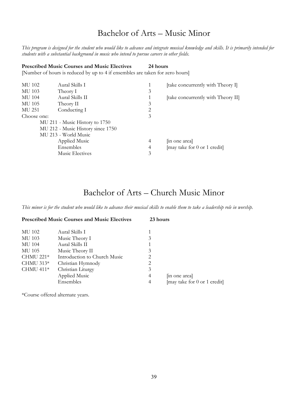### Bachelor of Arts – Music Minor

*This program is designed for the student who would like to advance and integrate musical knowledge and skills. It is primarily intended for students with a substantial background in music who intend to pursue careers in other fields.* 

#### **Prescribed Music Courses and Music Electives 24 hours**

[Number of hours is reduced by up to 4 if ensembles are taken for zero hours]

| MU 102      | Aural Skills I                    |   | [take concurrently with Theory I]  |
|-------------|-----------------------------------|---|------------------------------------|
| MU 103      | Theory I                          | 3 |                                    |
| MU 104      | Aural Skills II                   | 1 | [take concurrently with Theory II] |
| MU 105      | Theory II                         | 3 |                                    |
| MU 251      | Conducting I                      | 2 |                                    |
| Choose one: |                                   | 3 |                                    |
|             | MU 211 - Music History to 1750    |   |                                    |
|             | MU 212 - Music History since 1750 |   |                                    |
|             | MU 213 - World Music              |   |                                    |
|             | Applied Music                     | 4 | [in one area]                      |
|             | Ensembles                         | 4 | [may take for 0 or 1 credit]       |
|             | Music Electives                   | 3 |                                    |
|             |                                   |   |                                    |

### Bachelor of Arts – Church Music Minor

*This minor is for the student who would like to advance their musical skills to enable them to take a leadership role in worship.* 

|              | <b>Prescribed Music Courses and Music Electives</b> |   | 23 hours                     |
|--------------|-----------------------------------------------------|---|------------------------------|
| MU 102       | Aural Skills I                                      |   |                              |
| MU 103       | Music Theory I                                      | 3 |                              |
| MU 104       | Aural Skills II                                     |   |                              |
| MU 105       | Music Theory II                                     | 3 |                              |
| CHMU 221 $*$ | Introduction to Church Music                        | 2 |                              |
| CHMU $313*$  | Christian Hymnody                                   | 2 |                              |
| CHMU $411*$  | Christian Liturgy                                   | 3 |                              |
|              | Applied Music                                       | 4 | in one area]                 |
|              | Ensembles                                           | 4 | [may take for 0 or 1 credit] |
|              |                                                     |   |                              |

\*Course offered alternate years.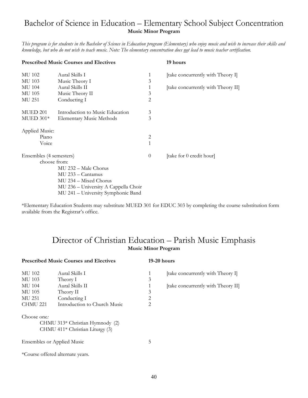#### Bachelor of Science in Education – Elementary School Subject Concentration **Music Minor Program**

*This program is for students in the Bachelor of Science in Education program (Elementary) who enjoy music and wish to increase their skills and knowledge, but who do not wish to teach music. Note: The elementary concentration does not lead to music teacher certification.*

|                         | <b>Prescribed Music Courses and Electives</b> |                | 19 hours                           |
|-------------------------|-----------------------------------------------|----------------|------------------------------------|
| MU 102                  | Aural Skills I                                | 1              | [take concurrently with Theory I]  |
| <b>MU 103</b>           | Music Theory I                                | 3              |                                    |
| <b>MU 104</b>           | Aural Skills II                               | 1              | [take concurrently with Theory II] |
| <b>MU 105</b>           | Music Theory II                               | 3              |                                    |
| MU 251                  | Conducting I                                  | $\overline{2}$ |                                    |
| MUED 201                | Introduction to Music Education               | 3              |                                    |
| MUED $301*$             | <b>Elementary Music Methods</b>               | 3              |                                    |
| Applied Music:          |                                               |                |                                    |
| Piano                   |                                               | $\overline{c}$ |                                    |
| Voice                   |                                               | 1              |                                    |
| Ensembles (4 semesters) |                                               | $\theta$       | [take for 0 credit hour]           |
| choose from:            |                                               |                |                                    |
|                         | MU 232 - Male Chorus                          |                |                                    |
|                         | MU 233 – Cantamus                             |                |                                    |
|                         | MU 234 – Mixed Chorus                         |                |                                    |
|                         | MU 236 – University A Cappella Choir          |                |                                    |
|                         | MU 241 - University Symphonic Band            |                |                                    |

\*Elementary Education Students may substitute MUED 301 for EDUC 303 by completing the course substitution form available from the Registrar's office.

### Director of Christian Education – Parish Music Emphasis **Music Minor Program**

| <b>Prescribed Music Courses and Electives</b> |                                    | $19-20$ hours          |                                    |
|-----------------------------------------------|------------------------------------|------------------------|------------------------------------|
| <b>MU 102</b>                                 | Aural Skills I                     |                        | [take concurrently with Theory I]  |
| MU 103                                        | Theory I                           | 3                      |                                    |
| <b>MU 104</b>                                 | Aural Skills II                    |                        | [take concurrently with Theory II] |
| MU 105                                        | Theory II                          | 3                      |                                    |
| MU 251                                        | Conducting I                       | 2                      |                                    |
| <b>CHMU 221</b>                               | Introduction to Church Music       | $\mathfrak{D}_{\cdot}$ |                                    |
| Choose one:                                   |                                    |                        |                                    |
|                                               | CHMU 313* Christian Hymnody (2)    |                        |                                    |
|                                               | CHMU 411 $*$ Christian Liturgy (3) |                        |                                    |
|                                               | Ensembles or Applied Music         | 5                      |                                    |
|                                               | *Course offered alternate years.   |                        |                                    |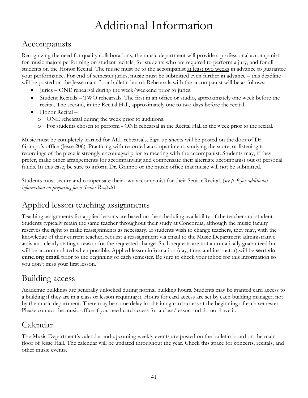# Additional Information

### Accompanists

Recognizing the need for quality collaborations, the music department will provide a professional accompanist for music majors performing on student recitals, for students who are required to perform a jury, and for all students on the Honor Recital. The music must be to the accompanist at least two weeks in advance to guarantee your performance. For end of semester juries, music must be submitted even further in advance – this deadline will be posted on the Jesse main floor bulletin board. Rehearsals with the accompanist will be as follows:

- Juries ONE rehearsal during the week/weekend prior to juries.
- Student Recitals TWO rehearsals. The first in an office or studio, approximately one week before the recital. The second, in the Recital Hall, approximately one to two days before the recital.
- Honor Recital
	- o ONE rehearsal during the week prior to auditions.
	- o For students chosen to perform ONE rehearsal in the Recital Hall in the week prior to the recital.

Music must be completely learned for ALL rehearsals. Sign-up sheets will be posted on the door of Dr. Grimpo's office (Jesse 206). Practicing with recorded accompaniment, studying the score, or listening to recordings of the piece is strongly encouraged prior to meeting with the accompanist. Students may, if they prefer, make other arrangements for accompanying and compensate their alternate accompanist out of personal funds. In this case, be sure to inform Dr. Grimpo or the music office that music will not be submitted.

Students must secure and compensate their own accompanist for their Senior Recital. (*see p. 9 for additional information on preparing for a Senior Recitals)*

### Applied lesson teaching assignments

Teaching assignments for applied lessons are based on the scheduling availability of the teacher and student. Students typically retain the same teacher throughout their study at Concordia, although the music faculty reserves the right to make reassignments as necessary. If students wish to change teachers, they may, with the knowledge of their current teacher, request a reassignment via email to the Music Department administrative assistant, clearly stating a reason for the requested change. Such requests are not automatically guaranteed but will be accommodated when possible. Applied lesson information (day, time, and instructor) will be **sent via cune.org email** prior to the beginning of each semester. Be sure to check your inbox for this information so you don't miss your first lesson.

### Building access

Academic buildings are generally unlocked during normal building hours. Students may be granted card access to a building if they are in a class or lesson requiring it. Hours for card access are set by each building manager, not by the music department. There may be some delay in obtaining card access at the beginning of each semester. Please contact the music office if you need card access for a class/lesson and do not have it.

### Calendar

The Music Department's calendar and upcoming weekly events are posted on the bulletin board on the main floor of Jesse Hall. The calendar will be updated throughout the year. Check this space for concerts, recitals, and other music events.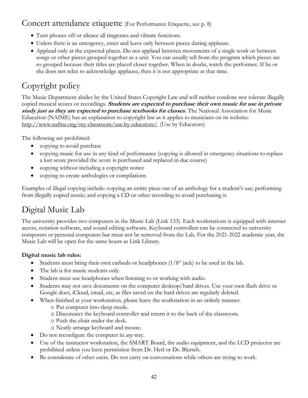### Concert attendance etiquette (For Performance Etiquette, see p. 8)

- Turn phones off or silence all ringtones and vibrate functions.
- Unless there is an emergency, enter and leave only between pieces during applause.
- Applaud only at the expected places. Do not applaud between movements of a single work or between songs or other pieces grouped together as a unit. You can usually tell from the program which pieces are so grouped because their titles are placed closer together. When in doubt, watch the performer. If he or she does not relax to acknowledge applause, then it is not appropriate at that time.

### Copyright policy

The Music Department abides by the United States Copyright Law and will neither condone nor tolerate illegally copied musical scores or recordings. **Students are expected to purchase their own music for use in private study just as they are expected to purchase textbooks for classes.** The National Association for Music Education (NAfME) has an explanation to copyright law as it applies to musicians on its website: http://www.nafme.org/my-classroom/use-by-educators/. (Use by Educators)

The following are prohibited:

- copying to avoid purchase
- copying music for use in any kind of performance (copying is allowed in emergency situations to replace a lost score provided the score is purchased and replaced in due course)
- copying without including a copyright notice
- copying to create anthologies or compilations

Examples of illegal copying include: copying an entire piece out of an anthology for a student's use; performing from illegally copied music; and copying a CD or other recording to avoid purchasing it.

### Digital Music Lab

The university provides two computers in the Music Lab (Link 133). Each workstations is equipped with internet access, notation software, and sound editing software. Keyboard controllers can be connected to university computers or personal computers but must not be removed from the Lab. For the 2021-2022 academic year, the Music Lab will be open for the same hours as Link Library.

#### **Digital music lab rules:**

- Students must bring their own earbuds or headphones  $(1/8)$  jack) to be used in the lab.
- The lab is for music students only.
- Student must use headphones when listening to or working with audio.
- Students may not save documents on the computer desktop/hard drives. Use your own flash drive or Google docs, iCloud, email, etc, as files saved on the hard drives are regularly deleted.
- When finished at your workstation, please leave the workstation in an orderly manner.
	- o Put computer into sleep mode.
	- o Disconnect the keyboard controller and return it to the back of the classroom.
	- o Push the chair under the desk.
	- o Neatly arrange keyboard and mouse.
- Do not reconfigure the computer in *any* way.
- Use of the instructor workstation, the SMART Board, the audio equipment, and the LCD projector are prohibited unless you have permission from Dr. Herl or Dr. Blersch.
- Be considerate of other users. Do not carry on conversations while others are trying to work.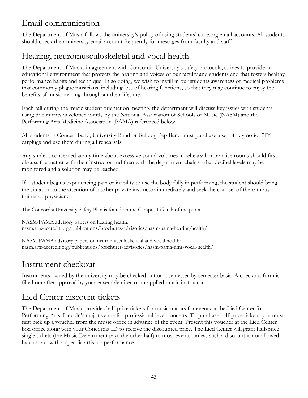### Email communication

The Department of Music follows the university's policy of using students' cune.org email accounts. All students should check their university email account frequently for messages from faculty and staff.

### Hearing, neuromusculoskeletal and vocal health

The Department of Music, in agreement with Concordia University's safety protocols, strives to provide an educational environment that protects the hearing and voices of our faculty and students and that fosters healthy performance habits and technique. In so doing, we wish to instill in our students awareness of medical problems that commonly plague musicians, including loss of hearing functions, so that they may continue to enjoy the benefits of music making throughout their lifetime.

Each fall during the music student orientation meeting, the department will discuss key issues with students using documents developed jointly by the National Association of Schools of Music (NASM) and the Performing Arts Medicine Association (PAMA) referenced below.

All students in Concert Band, University Band or Bulldog Pep Band must purchase a set of Etymotic ETY earplugs and use them during all rehearsals.

Any student concerned at any time about excessive sound volumes in rehearsal or practice rooms should first discuss the matter with their instructor and then with the department chair so that decibel levels may be monitored and a solution may be reached.

If a student begins experiencing pain or inability to use the body fully in performing, the student should bring the situation to the attention of his/her private instructor immediately and seek the counsel of the campus trainer or physician.

The Concordia University Safety Plan is found on the Campus Life tab of the portal.

NASM-PAMA advisory papers on hearing health: nasm.arts-accredit.org/publications/brochures-advisories/nasm-pama-hearing-health/

NASM-PAMA advisory papers on neuromusculoskeletal and vocal health: nasm.arts-accredit.org/publications/brochures-advisories/nasm-pama-nms-vocal-health/

### Instrument checkout

Instruments owned by the university may be checked out on a semester-by-semester basis. A checkout form is filled out after approval by your ensemble director or applied music instructor.

### Lied Center discount tickets

The Department of Music provides half-price tickets for music majors for events at the Lied Center for Performing Arts, Lincoln's major venue for professional-level concerts. To purchase half-price tickets, you must first pick up a voucher from the music office in advance of the event. Present this voucher at the Lied Center box office along with your Concordia ID to receive the discounted price. The Lied Center will grant half-price single tickets (the Music Department pays the other half) to most events, unless such a discount is not allowed by contract with a specific artist or performance.